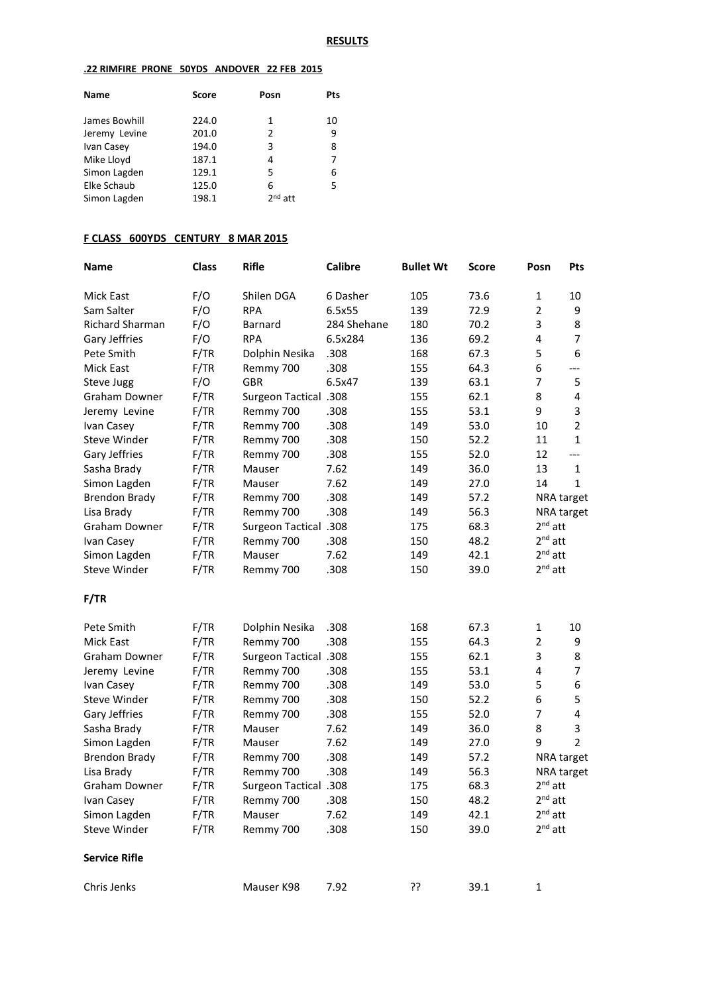### **.22 RIMFIRE PRONE 50YDS ANDOVER 22 FEB 2015**

| <b>Name</b>   | <b>Score</b> | Posn      | Pts |
|---------------|--------------|-----------|-----|
| James Bowhill | 224.0        | 1         | 10  |
| Jeremy Levine | 201.0        | 2         | 9   |
| Ivan Casey    | 194.0        | 3         | 8   |
| Mike Lloyd    | 187.1        | 4         | 7   |
| Simon Lagden  | 129.1        | 5         | 6   |
| Elke Schaub   | 125.0        | 6         | 5   |
| Simon Lagden  | 198.1        | $2nd$ att |     |

# **F CLASS 600YDS CENTURY 8 MAR 2015**

| <b>Name</b>            | <b>Class</b> | <b>Rifle</b>                 | <b>Calibre</b> | <b>Bullet Wt</b> | Score | Posn           | Pts               |
|------------------------|--------------|------------------------------|----------------|------------------|-------|----------------|-------------------|
| <b>Mick East</b>       | F/O          | Shilen DGA                   | 6 Dasher       | 105              | 73.6  | $\mathbf{1}$   | 10                |
| Sam Salter             | F/O          | <b>RPA</b>                   | 6.5x55         | 139              | 72.9  | $\overline{2}$ | 9                 |
| <b>Richard Sharman</b> | F/O          | Barnard                      | 284 Shehane    | 180              | 70.2  | 3              | 8                 |
| Gary Jeffries          | F/O          | <b>RPA</b>                   | 6.5x284        | 136              | 69.2  | 4              | $\overline{7}$    |
| Pete Smith             | F/TR         | Dolphin Nesika               | .308           | 168              | 67.3  | 5              | 6                 |
| <b>Mick East</b>       | F/TR         | Remmy 700                    | .308           | 155              | 64.3  | 6              | ---               |
| Steve Jugg             | F/O          | <b>GBR</b>                   | 6.5x47         | 139              | 63.1  | 7              | 5                 |
| Graham Downer          | F/TR         | <b>Surgeon Tactical .308</b> |                | 155              | 62.1  | 8              | 4                 |
| Jeremy Levine          | F/TR         | Remmy 700                    | .308           | 155              | 53.1  | 9              | 3                 |
| Ivan Casey             | F/TR         | Remmy 700                    | .308           | 149              | 53.0  | 10             | $\overline{2}$    |
| Steve Winder           | F/TR         | Remmy 700                    | .308           | 150              | 52.2  | 11             | $\mathbf{1}$      |
| Gary Jeffries          | F/TR         | Remmy 700                    | .308           | 155              | 52.0  | 12             | ---               |
| Sasha Brady            | F/TR         | Mauser                       | 7.62           | 149              | 36.0  | 13             | 1                 |
| Simon Lagden           | F/TR         | Mauser                       | 7.62           | 149              | 27.0  | 14             | $\mathbf{1}$      |
| <b>Brendon Brady</b>   | F/TR         | Remmy 700                    | .308           | 149              | 57.2  |                | NRA target        |
| Lisa Brady             | F/TR         | Remmy 700                    | .308           | 149              | 56.3  |                | <b>NRA target</b> |
| <b>Graham Downer</b>   | F/TR         | <b>Surgeon Tactical .308</b> |                | 175              | 68.3  | $2nd$ att      |                   |
| Ivan Casey             | F/TR         | Remmy 700                    | .308           | 150              | 48.2  | $2nd$ att      |                   |
| Simon Lagden           | F/TR         | Mauser                       | 7.62           | 149              | 42.1  | $2nd$ att      |                   |
| <b>Steve Winder</b>    | F/TR         | Remmy 700                    | .308           | 150              | 39.0  | $2^{nd}$ att   |                   |
| F/TR                   |              |                              |                |                  |       |                |                   |
| Pete Smith             | F/TR         | Dolphin Nesika               | .308           | 168              | 67.3  | 1              | 10                |
| Mick East              | F/TR         | Remmy 700                    | .308           | 155              | 64.3  | $\overline{2}$ | 9                 |
| Graham Downer          | F/TR         | <b>Surgeon Tactical .308</b> |                | 155              | 62.1  | 3              | 8                 |
| Jeremy Levine          | F/TR         | Remmy 700                    | .308           | 155              | 53.1  | 4              | 7                 |
| Ivan Casey             | F/TR         | Remmy 700                    | .308           | 149              | 53.0  | 5              | 6                 |
| Steve Winder           | F/TR         | Remmy 700                    | .308           | 150              | 52.2  | 6              | 5                 |
| Gary Jeffries          | F/TR         | Remmy 700                    | .308           | 155              | 52.0  | $\overline{7}$ | 4                 |
| Sasha Brady            | F/TR         | Mauser                       | 7.62           | 149              | 36.0  | 8              | 3                 |
| Simon Lagden           | F/TR         | Mauser                       | 7.62           | 149              | 27.0  | 9              | $\overline{2}$    |
| <b>Brendon Brady</b>   | F/TR         | Remmy 700                    | .308           | 149              | 57.2  |                | NRA target        |
| Lisa Brady             | F/TR         | Remmy 700                    | .308           | 149              | 56.3  |                | NRA target        |
| <b>Graham Downer</b>   | F/TR         | <b>Surgeon Tactical .308</b> |                | 175              | 68.3  | $2nd$ att      |                   |
| Ivan Casey             | F/TR         | Remmy 700                    | .308           | 150              | 48.2  | $2nd$ att      |                   |
| Simon Lagden           | F/TR         | Mauser                       | 7.62           | 149              | 42.1  | $2nd$ att      |                   |
| Steve Winder           | F/TR         | Remmy 700                    | .308           | 150              | 39.0  | $2^{nd}$ att   |                   |
| <b>Service Rifle</b>   |              |                              |                |                  |       |                |                   |
| Chris Jenks            |              | Mauser K98                   | 7.92           | ??               | 39.1  | $\mathbf 1$    |                   |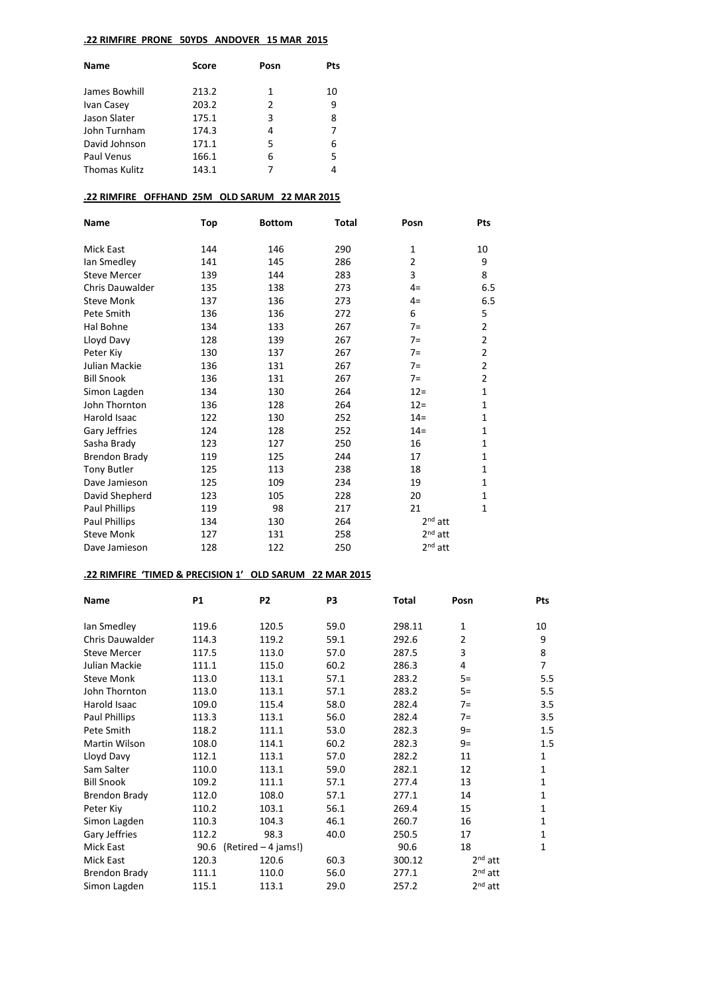### **.22 RIMFIRE PRONE 50YDS ANDOVER 15 MAR 2015**

| <b>Name</b>          | Score | Posn | Pts |
|----------------------|-------|------|-----|
| James Bowhill        | 213.2 | 1    | 10  |
| Ivan Casey           | 203.2 | 2    | 9   |
| Jason Slater         | 175.1 | 3    | 8   |
| John Turnham         | 174.3 | 4    | 7   |
| David Johnson        | 171.1 | 5    | 6   |
| Paul Venus           | 166.1 | 6    | 5   |
| <b>Thomas Kulitz</b> | 143.1 | 7    | 4   |
|                      |       |      |     |

### **.22 RIMFIRE OFFHAND 25M OLD SARUM 22 MAR 2015**

| Name                   | Top | <b>Bottom</b> | Total | Posn      | <b>Pts</b>     |
|------------------------|-----|---------------|-------|-----------|----------------|
| <b>Mick East</b>       | 144 | 146           | 290   | 1         | 10             |
| lan Smedley            | 141 | 145           | 286   | 2         | 9              |
| <b>Steve Mercer</b>    | 139 | 144           | 283   | 3         | 8              |
| <b>Chris Dauwalder</b> | 135 | 138           | 273   | $4=$      | 6.5            |
| <b>Steve Monk</b>      | 137 | 136           | 273   | $4=$      | 6.5            |
| Pete Smith             | 136 | 136           | 272   | 6         | 5              |
| Hal Bohne              | 134 | 133           | 267   | $7=$      | $\overline{c}$ |
| Lloyd Davy             | 128 | 139           | 267   | $7=$      | 2              |
| Peter Kiy              | 130 | 137           | 267   | $7=$      | 2              |
| Julian Mackie          | 136 | 131           | 267   | $7=$      | 2              |
| <b>Bill Snook</b>      | 136 | 131           | 267   | $7=$      | 2              |
| Simon Lagden           | 134 | 130           | 264   | $12=$     | 1              |
| John Thornton          | 136 | 128           | 264   | $12 =$    | $\mathbf{1}$   |
| <b>Harold Isaac</b>    | 122 | 130           | 252   | $14=$     | 1              |
| Gary Jeffries          | 124 | 128           | 252   | $14=$     | 1              |
| Sasha Brady            | 123 | 127           | 250   | 16        | 1              |
| <b>Brendon Brady</b>   | 119 | 125           | 244   | 17        | 1              |
| <b>Tony Butler</b>     | 125 | 113           | 238   | 18        | $\mathbf{1}$   |
| Dave Jamieson          | 125 | 109           | 234   | 19        | $\mathbf{1}$   |
| David Shepherd         | 123 | 105           | 228   | 20        | 1              |
| Paul Phillips          | 119 | 98            | 217   | 21        | $\mathbf{1}$   |
| Paul Phillips          | 134 | 130           | 264   | $2nd$ att |                |
| <b>Steve Monk</b>      | 127 | 131           | 258   | $2nd$ att |                |
| Dave Jamieson          | 128 | 122           | 250   | $2nd$ att |                |

# **.22 RIMFIRE 'TIMED & PRECISION 1' OLD SARUM 22 MAR 2015**

| <b>Name</b>            | <b>P1</b> | <b>P2</b>           | P <sub>3</sub> | Total  | Posn           | Pts          |
|------------------------|-----------|---------------------|----------------|--------|----------------|--------------|
| lan Smedley            | 119.6     | 120.5               | 59.0           | 298.11 | 1              | 10           |
| <b>Chris Dauwalder</b> | 114.3     | 119.2               | 59.1           | 292.6  | $\overline{2}$ | 9            |
| <b>Steve Mercer</b>    | 117.5     | 113.0               | 57.0           | 287.5  | 3              | 8            |
| Julian Mackie          | 111.1     | 115.0               | 60.2           | 286.3  | 4              | 7            |
| <b>Steve Monk</b>      | 113.0     | 113.1               | 57.1           | 283.2  | $5=$           | 5.5          |
| John Thornton          | 113.0     | 113.1               | 57.1           | 283.2  | $5=$           | 5.5          |
| Harold Isaac           | 109.0     | 115.4               | 58.0           | 282.4  | $7 =$          | 3.5          |
| Paul Phillips          | 113.3     | 113.1               | 56.0           | 282.4  | $7 =$          | 3.5          |
| Pete Smith             | 118.2     | 111.1               | 53.0           | 282.3  | $9=$           | 1.5          |
| Martin Wilson          | 108.0     | 114.1               | 60.2           | 282.3  | $9=$           | 1.5          |
| Lloyd Davy             | 112.1     | 113.1               | 57.0           | 282.2  | 11             | $\mathbf{1}$ |
| Sam Salter             | 110.0     | 113.1               | 59.0           | 282.1  | 12             | $\mathbf{1}$ |
| <b>Bill Snook</b>      | 109.2     | 111.1               | 57.1           | 277.4  | 13             | 1            |
| <b>Brendon Brady</b>   | 112.0     | 108.0               | 57.1           | 277.1  | 14             | $\mathbf{1}$ |
| Peter Kiy              | 110.2     | 103.1               | 56.1           | 269.4  | 15             | 1            |
| Simon Lagden           | 110.3     | 104.3               | 46.1           | 260.7  | 16             | 1            |
| Gary Jeffries          | 112.2     | 98.3                | 40.0           | 250.5  | 17             | 1            |
| Mick East              | 90.6      | (Retired – 4 jams!) |                | 90.6   | 18             | 1            |
| Mick East              | 120.3     | 120.6               | 60.3           | 300.12 | $2nd$ att      |              |
| Brendon Brady          | 111.1     | 110.0               | 56.0           | 277.1  | $2nd$ att      |              |
| Simon Lagden           | 115.1     | 113.1               | 29.0           | 257.2  | $2nd$ att      |              |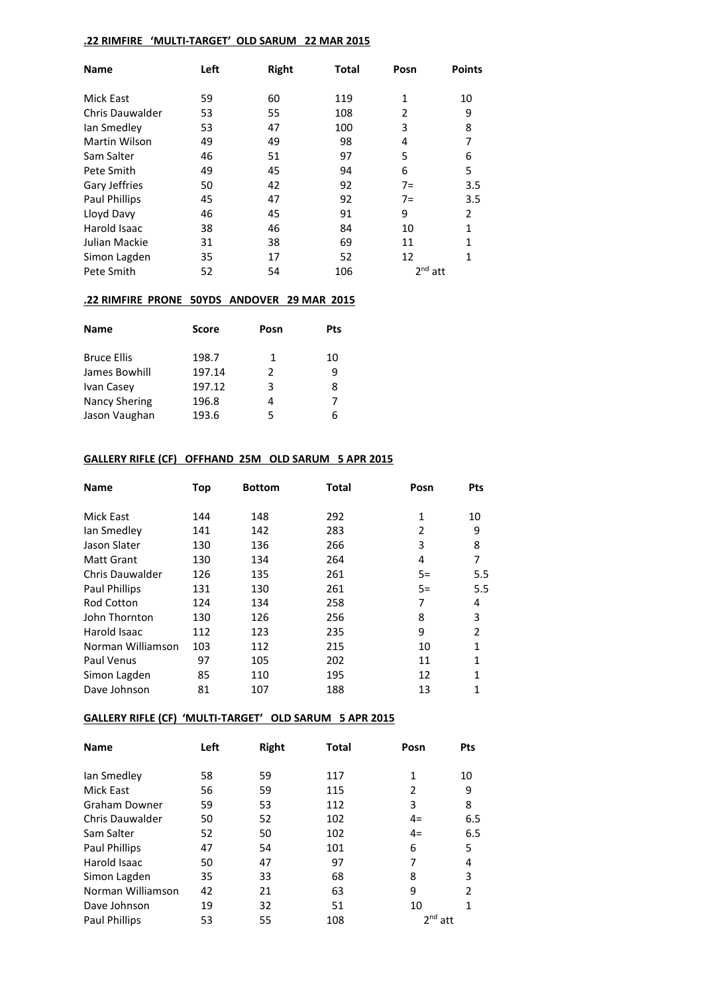### **.22 RIMFIRE 'MULTI-TARGET' OLD SARUM 22 MAR 2015**

| <b>Name</b>          | Left | <b>Right</b> | <b>Total</b> | Posn      | <b>Points</b>  |
|----------------------|------|--------------|--------------|-----------|----------------|
|                      |      |              |              |           |                |
| Mick East            | 59   | 60           | 119          | 1         | 10             |
| Chris Dauwalder      | 53   | 55           | 108          | 2         | 9              |
| lan Smedley          | 53   | 47           | 100          | 3         | 8              |
| <b>Martin Wilson</b> | 49   | 49           | 98           | 4         | 7              |
| Sam Salter           | 46   | 51           | 97           | 5         | 6              |
| Pete Smith           | 49   | 45           | 94           | 6         | 5              |
| Gary Jeffries        | 50   | 42           | 92           | $7 =$     | 3.5            |
| <b>Paul Phillips</b> | 45   | 47           | 92           | $7 =$     | 3.5            |
| Lloyd Davy           | 46   | 45           | 91           | 9         | $\mathfrak{p}$ |
| Harold Isaac         | 38   | 46           | 84           | 10        | $\mathbf{1}$   |
| Julian Mackie        | 31   | 38           | 69           | 11        | 1              |
| Simon Lagden         | 35   | 17           | 52           | 12        | $\mathbf{1}$   |
| Pete Smith           | 52   | 54           | 106          | $2nd$ att |                |

### **.22 RIMFIRE PRONE 50YDS ANDOVER 29 MAR 2015**

| <b>Name</b>          | <b>Score</b> | Posn | Pts |
|----------------------|--------------|------|-----|
| <b>Bruce Ellis</b>   | 198.7        | 1    | 10  |
| James Bowhill        | 197.14       | 2    | 9   |
| Ivan Casey           | 197.12       | 3    | 8   |
| <b>Nancy Shering</b> | 196.8        | 4    | 7   |
| Jason Vaughan        | 193.6        | 5    | 6   |

# **GALLERY RIFLE (CF) OFFHAND 25M OLD SARUM 5 APR 2015**

| <b>Name</b>          | Top | <b>Bottom</b> | <b>Total</b> | Posn | <b>Pts</b>     |
|----------------------|-----|---------------|--------------|------|----------------|
| <b>Mick East</b>     | 144 | 148           | 292          | 1    | 10             |
|                      |     |               |              |      |                |
| lan Smedley          | 141 | 142           | 283          | 2    | 9              |
| Jason Slater         | 130 | 136           | 266          | 3    | 8              |
| <b>Matt Grant</b>    | 130 | 134           | 264          | 4    | 7              |
| Chris Dauwalder      | 126 | 135           | 261          | $5=$ | 5.5            |
| <b>Paul Phillips</b> | 131 | 130           | 261          | $5=$ | 5.5            |
| <b>Rod Cotton</b>    | 124 | 134           | 258          | 7    | 4              |
| John Thornton        | 130 | 126           | 256          | 8    | 3              |
| Harold Isaac         | 112 | 123           | 235          | 9    | $\overline{2}$ |
| Norman Williamson    | 103 | 112           | 215          | 10   | 1              |
| Paul Venus           | 97  | 105           | 202          | 11   | 1              |
| Simon Lagden         | 85  | 110           | 195          | 12   | 1              |
| Dave Johnson         | 81  | 107           | 188          | 13   | 1              |

### **GALLERY RIFLE (CF) 'MULTI-TARGET' OLD SARUM 5 APR 2015**

| <b>Name</b>            | Left | <b>Right</b> | Total | Posn      | <b>Pts</b>     |
|------------------------|------|--------------|-------|-----------|----------------|
| lan Smedley            | 58   | 59           | 117   | 1         | 10             |
| Mick East              | 56   | 59           | 115   | 2         | 9              |
| <b>Graham Downer</b>   | 59   | 53           | 112   | 3         | 8              |
| <b>Chris Dauwalder</b> | 50   | 52           | 102   | $4=$      | 6.5            |
| Sam Salter             | 52   | 50           | 102   | $4=$      | 6.5            |
| <b>Paul Phillips</b>   | 47   | 54           | 101   | 6         | 5              |
| Harold Isaac           | 50   | 47           | 97    | 7         | 4              |
| Simon Lagden           | 35   | 33           | 68    | 8         | 3              |
| Norman Williamson      | 42   | 21           | 63    | 9         | $\overline{2}$ |
| Dave Johnson           | 19   | 32           | 51    | 10        | 1              |
| <b>Paul Phillips</b>   | 53   | 55           | 108   | $2nd$ att |                |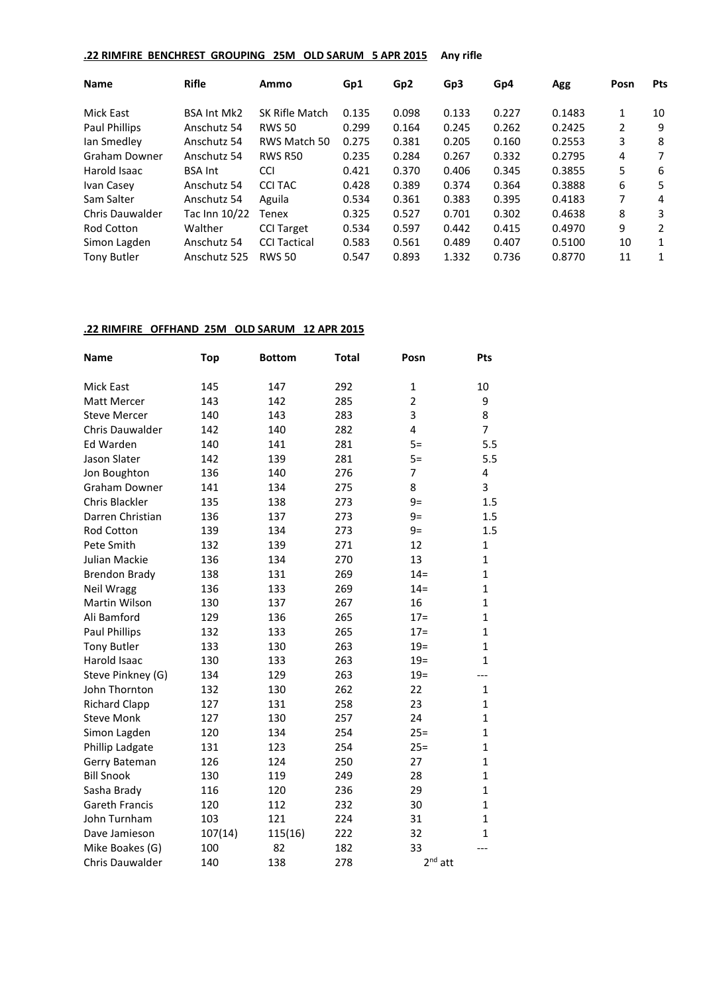# **.22 RIMFIRE BENCHREST GROUPING 25M OLD SARUM 5 APR 2015 Any rifle**

| <b>Name</b>          | <b>Rifle</b>       | Ammo                | Gp1   | Gp <sub>2</sub> | Gp3   | Gp4   | Agg    | Posn | <b>Pts</b> |
|----------------------|--------------------|---------------------|-------|-----------------|-------|-------|--------|------|------------|
| <b>Mick East</b>     | <b>BSA Int Mk2</b> | SK Rifle Match      | 0.135 | 0.098           | 0.133 | 0.227 | 0.1483 | 1    | 10         |
| <b>Paul Phillips</b> | Anschutz 54        | <b>RWS 50</b>       | 0.299 | 0.164           | 0.245 | 0.262 | 0.2425 | 2    | 9          |
| Ian Smedley          | Anschutz 54        | RWS Match 50        | 0.275 | 0.381           | 0.205 | 0.160 | 0.2553 | 3    | 8          |
| Graham Downer        | Anschutz 54        | <b>RWS R50</b>      | 0.235 | 0.284           | 0.267 | 0.332 | 0.2795 | 4    | 7          |
| Harold Isaac         | <b>BSA Int</b>     | <b>CCI</b>          | 0.421 | 0.370           | 0.406 | 0.345 | 0.3855 | 5    | 6          |
| Ivan Casey           | Anschutz 54        | <b>CCI TAC</b>      | 0.428 | 0.389           | 0.374 | 0.364 | 0.3888 | 6    | 5          |
| Sam Salter           | Anschutz 54        | Aguila              | 0.534 | 0.361           | 0.383 | 0.395 | 0.4183 | 7    | 4          |
| Chris Dauwalder      | Tac Inn 10/22      | Tenex               | 0.325 | 0.527           | 0.701 | 0.302 | 0.4638 | 8    | 3          |
| Rod Cotton           | Walther            | <b>CCI Target</b>   | 0.534 | 0.597           | 0.442 | 0.415 | 0.4970 | 9    | 2          |
| Simon Lagden         | Anschutz 54        | <b>CCI Tactical</b> | 0.583 | 0.561           | 0.489 | 0.407 | 0.5100 | 10   | 1          |
| <b>Tony Butler</b>   | Anschutz 525       | <b>RWS 50</b>       | 0.547 | 0.893           | 1.332 | 0.736 | 0.8770 | 11   | 1          |

# **.22 RIMFIRE OFFHAND 25M OLD SARUM 12 APR 2015**

| <b>Name</b>           | <b>Top</b> | <b>Bottom</b> | <b>Total</b> | Posn           | Pts            |
|-----------------------|------------|---------------|--------------|----------------|----------------|
| <b>Mick East</b>      | 145        | 147           | 292          | $\mathbf{1}$   | 10             |
| <b>Matt Mercer</b>    | 143        | 142           | 285          | $\overline{2}$ | 9              |
| <b>Steve Mercer</b>   | 140        | 143           | 283          | 3              | 8              |
| Chris Dauwalder       | 142        | 140           | 282          | 4              | $\overline{7}$ |
| Ed Warden             | 140        | 141           | 281          | $5=$           | 5.5            |
| Jason Slater          | 142        | 139           | 281          | $5=$           | 5.5            |
| Jon Boughton          | 136        | 140           | 276          | 7              | 4              |
| <b>Graham Downer</b>  | 141        | 134           | 275          | 8              | 3              |
| Chris Blackler        | 135        | 138           | 273          | $9=$           | 1.5            |
| Darren Christian      | 136        | 137           | 273          | $9=$           | 1.5            |
| Rod Cotton            | 139        | 134           | 273          | $9=$           | 1.5            |
| Pete Smith            | 132        | 139           | 271          | 12             | 1              |
| Julian Mackie         | 136        | 134           | 270          | 13             | $\mathbf{1}$   |
| <b>Brendon Brady</b>  | 138        | 131           | 269          | $14 =$         | $\mathbf{1}$   |
| <b>Neil Wragg</b>     | 136        | 133           | 269          | $14 =$         | $\mathbf{1}$   |
| Martin Wilson         | 130        | 137           | 267          | 16             | $\mathbf{1}$   |
| Ali Bamford           | 129        | 136           | 265          | $17 =$         | $\mathbf{1}$   |
| <b>Paul Phillips</b>  | 132        | 133           | 265          | $17=$          | $\mathbf{1}$   |
| <b>Tony Butler</b>    | 133        | 130           | 263          | $19=$          | $\mathbf{1}$   |
| Harold Isaac          | 130        | 133           | 263          | $19=$          | $\mathbf{1}$   |
| Steve Pinkney (G)     | 134        | 129           | 263          | $19=$          |                |
| John Thornton         | 132        | 130           | 262          | 22             | $\mathbf{1}$   |
| <b>Richard Clapp</b>  | 127        | 131           | 258          | 23             | $\mathbf{1}$   |
| <b>Steve Monk</b>     | 127        | 130           | 257          | 24             | $\mathbf{1}$   |
| Simon Lagden          | 120        | 134           | 254          | $25 =$         | $\mathbf{1}$   |
| Phillip Ladgate       | 131        | 123           | 254          | $25=$          | $\mathbf{1}$   |
| Gerry Bateman         | 126        | 124           | 250          | 27             | $\mathbf{1}$   |
| <b>Bill Snook</b>     | 130        | 119           | 249          | 28             | $\mathbf{1}$   |
| Sasha Brady           | 116        | 120           | 236          | 29             | $\mathbf{1}$   |
| <b>Gareth Francis</b> | 120        | 112           | 232          | 30             | 1              |
| John Turnham          | 103        | 121           | 224          | 31             | 1              |
| Dave Jamieson         | 107(14)    | 115(16)       | 222          | 32             | $\mathbf{1}$   |
| Mike Boakes (G)       | 100        | 82            | 182          | 33             |                |
| Chris Dauwalder       | 140        | 138           | 278          | $2nd$ att      |                |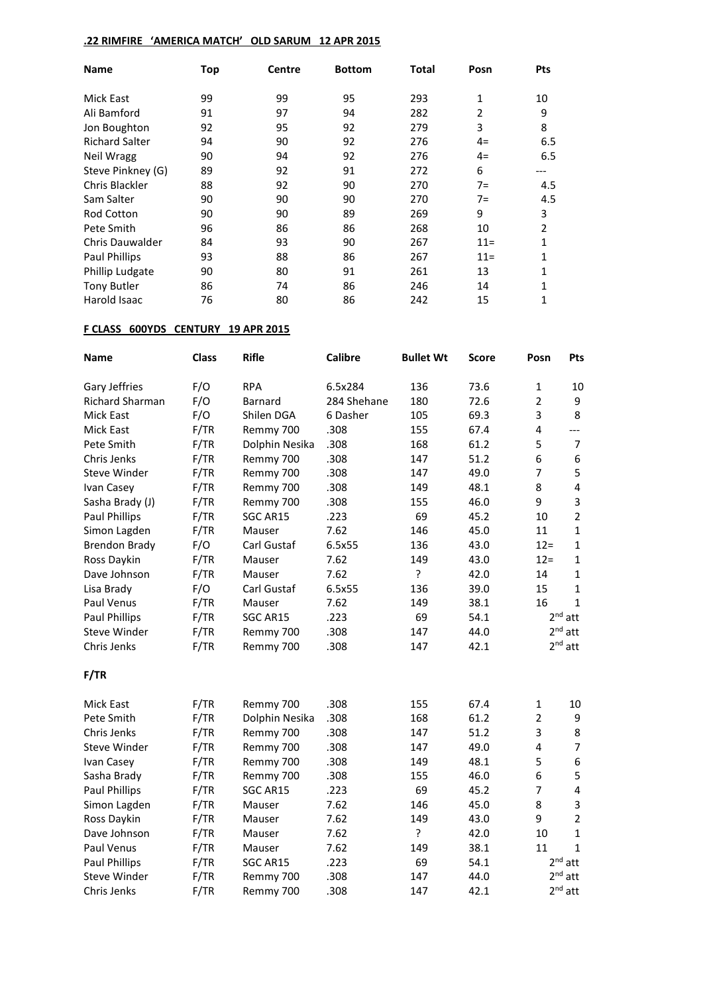# **.22 RIMFIRE 'AMERICA MATCH' OLD SARUM 12 APR 2015**

| <b>Name</b>            | Top | <b>Centre</b> | <b>Bottom</b> | Total | Posn           | <b>Pts</b>     |
|------------------------|-----|---------------|---------------|-------|----------------|----------------|
| <b>Mick East</b>       | 99  | 99            | 95            | 293   | 1              | 10             |
| Ali Bamford            | 91  | 97            | 94            | 282   | $\overline{2}$ | 9              |
| Jon Boughton           | 92  | 95            | 92            | 279   | 3              | 8              |
| <b>Richard Salter</b>  | 94  | 90            | 92            | 276   | $4=$           | 6.5            |
| Neil Wragg             | 90  | 94            | 92            | 276   | $4=$           | 6.5            |
| Steve Pinkney (G)      | 89  | 92            | 91            | 272   | 6              |                |
| Chris Blackler         | 88  | 92            | 90            | 270   | $7 =$          | 4.5            |
| Sam Salter             | 90  | 90            | 90            | 270   | $7=$           | 4.5            |
| <b>Rod Cotton</b>      | 90  | 90            | 89            | 269   | 9              | 3              |
| Pete Smith             | 96  | 86            | 86            | 268   | 10             | $\overline{2}$ |
| <b>Chris Dauwalder</b> | 84  | 93            | 90            | 267   | $11 =$         | 1              |
| <b>Paul Phillips</b>   | 93  | 88            | 86            | 267   | $11 =$         | 1              |
| Phillip Ludgate        | 90  | 80            | 91            | 261   | 13             | 1              |
| <b>Tony Butler</b>     | 86  | 74            | 86            | 246   | 14             | 1              |
| Harold Isaac           | 76  | 80            | 86            | 242   | 15             |                |

# **F CLASS 600YDS CENTURY 19 APR 2015**

| <b>Name</b>          | <b>Class</b> | Rifle          | <b>Calibre</b> | <b>Bullet Wt</b> | Score | Posn            | <b>Pts</b>              |
|----------------------|--------------|----------------|----------------|------------------|-------|-----------------|-------------------------|
| Gary Jeffries        | F/O          | <b>RPA</b>     | 6.5x284        | 136              | 73.6  | 1               | 10                      |
| Richard Sharman      | F/O          | Barnard        | 284 Shehane    | 180              | 72.6  | $\overline{2}$  | 9                       |
| Mick East            | F/O          | Shilen DGA     | 6 Dasher       | 105              | 69.3  | 3               | 8                       |
| Mick East            | F/TR         | Remmy 700      | .308           | 155              | 67.4  | 4               | $---$                   |
| Pete Smith           | F/TR         | Dolphin Nesika | .308           | 168              | 61.2  | 5               | $\overline{7}$          |
| Chris Jenks          | F/TR         | Remmy 700      | .308           | 147              | 51.2  | 6               | 6                       |
| Steve Winder         | F/TR         | Remmy 700      | .308           | 147              | 49.0  | $\overline{7}$  | 5                       |
| Ivan Casey           | F/TR         | Remmy 700      | .308           | 149              | 48.1  | 8               | $\overline{\mathbf{4}}$ |
| Sasha Brady (J)      | F/TR         | Remmy 700      | .308           | 155              | 46.0  | 9               | $\overline{3}$          |
| <b>Paul Phillips</b> | F/TR         | SGC AR15       | .223           | 69               | 45.2  | 10              | $\overline{2}$          |
| Simon Lagden         | F/TR         | Mauser         | 7.62           | 146              | 45.0  | 11              | $\mathbf{1}$            |
| <b>Brendon Brady</b> | F/O          | Carl Gustaf    | 6.5x55         | 136              | 43.0  | $12 =$          | $\mathbf{1}$            |
| Ross Daykin          | F/TR         | Mauser         | 7.62           | 149              | 43.0  | $12 =$          | $\mathbf{1}$            |
| Dave Johnson         | F/TR         | Mauser         | 7.62           | ŗ                | 42.0  | 14              | $\mathbf{1}$            |
| Lisa Brady           | F/O          | Carl Gustaf    | 6.5x55         | 136              | 39.0  | 15              | $\mathbf{1}$            |
| Paul Venus           | F/TR         | Mauser         | 7.62           | 149              | 38.1  | 16              | $\mathbf{1}$            |
| Paul Phillips        | F/TR         | SGC AR15       | .223           | 69               | 54.1  | 2 <sup>nd</sup> | att                     |
| Steve Winder         | F/TR         | Remmy 700      | .308           | 147              | 44.0  | 2 <sup>nd</sup> | att                     |
| Chris Jenks          | F/TR         | Remmy 700      | .308           | 147              | 42.1  |                 | $2^{nd}$ att            |
| F/TR                 |              |                |                |                  |       |                 |                         |
| Mick East            | F/TR         | Remmy 700      | .308           | 155              | 67.4  | 1               | 10                      |
| Pete Smith           | F/TR         | Dolphin Nesika | .308           | 168              | 61.2  | $\overline{2}$  | 9                       |
| Chris Jenks          | F/TR         | Remmy 700      | .308           | 147              | 51.2  | 3               | 8                       |
| <b>Steve Winder</b>  | F/TR         | Remmy 700      | .308           | 147              | 49.0  | $\overline{4}$  | $\overline{7}$          |
| Ivan Casey           | F/TR         | Remmy 700      | .308           | 149              | 48.1  | 5               | 6                       |
| Sasha Brady          | F/TR         | Remmy 700      | .308           | 155              | 46.0  | 6               | 5                       |
| Paul Phillips        | F/TR         | SGC AR15       | .223           | 69               | 45.2  | $\overline{7}$  | $\overline{\mathbf{4}}$ |
| Simon Lagden         | F/TR         | Mauser         | 7.62           | 146              | 45.0  | 8               | $\overline{3}$          |
| Ross Daykin          | F/TR         | Mauser         | 7.62           | 149              | 43.0  | 9               | $\overline{2}$          |
| Dave Johnson         | F/TR         | Mauser         | 7.62           | ?                | 42.0  | 10              | $\mathbf{1}$            |
| Paul Venus           | F/TR         | Mauser         | 7.62           | 149              | 38.1  | 11              | $\mathbf 1$             |
| Paul Phillips        | F/TR         | SGC AR15       | .223           | 69               | 54.1  |                 | $2nd$ att               |
| <b>Steve Winder</b>  | F/TR         | Remmy 700      | .308           | 147              | 44.0  | 2 <sub>nd</sub> | att                     |
| Chris Jenks          | F/TR         | Remmy 700      | .308           | 147              | 42.1  |                 | $2nd$ att               |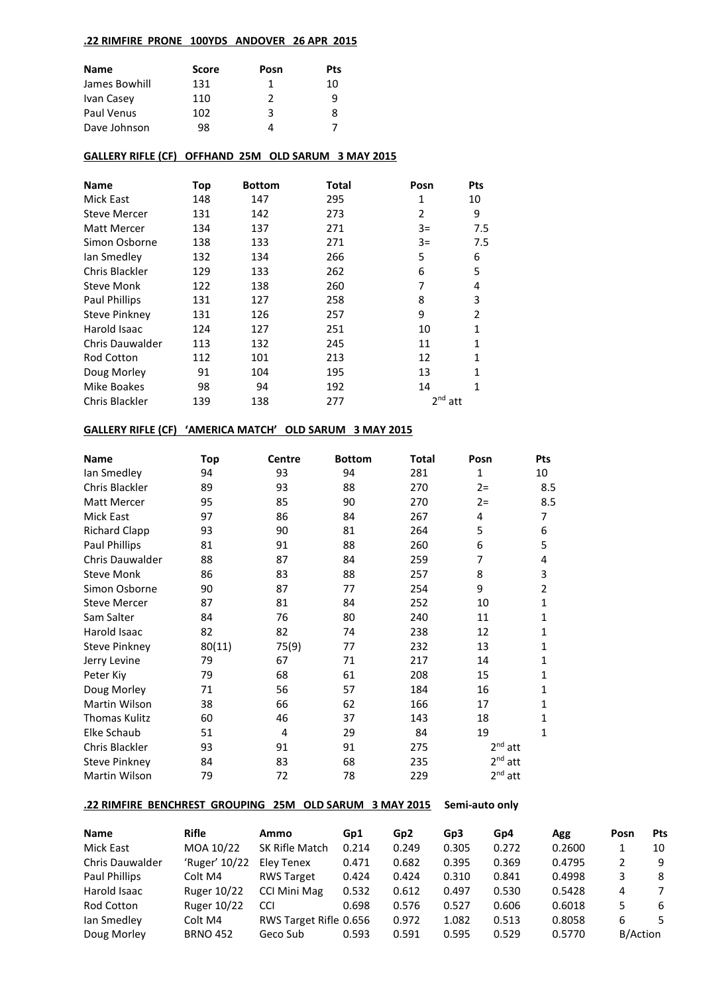### **.22 RIMFIRE PRONE 100YDS ANDOVER 26 APR 2015**

| Name          | <b>Score</b> | Posn | <b>Pts</b> |
|---------------|--------------|------|------------|
| James Bowhill | 131          | 1    | 10         |
| Ivan Casey    | 110          | 2    | q          |
| Paul Venus    | 102          | 3    | 8          |
| Dave Johnson  | 98           |      |            |

### **GALLERY RIFLE (CF) OFFHAND 25M OLD SARUM 3 MAY 2015**

| <b>Name</b>          | Top | <b>Bottom</b> | <b>Total</b> | Posn      | Pts            |
|----------------------|-----|---------------|--------------|-----------|----------------|
| Mick East            | 148 | 147           | 295          | 1         | 10             |
| <b>Steve Mercer</b>  | 131 | 142           | 273          | 2         | 9              |
| <b>Matt Mercer</b>   | 134 | 137           | 271          | $3=$      | 7.5            |
| Simon Osborne        | 138 | 133           | 271          | $3=$      | 7.5            |
| lan Smedley          | 132 | 134           | 266          | 5         | 6              |
| Chris Blackler       | 129 | 133           | 262          | 6         | 5              |
| <b>Steve Monk</b>    | 122 | 138           | 260          | 7         | 4              |
| <b>Paul Phillips</b> | 131 | 127           | 258          | 8         | 3              |
| <b>Steve Pinkney</b> | 131 | 126           | 257          | 9         | $\overline{2}$ |
| Harold Isaac         | 124 | 127           | 251          | 10        | $\mathbf{1}$   |
| Chris Dauwalder      | 113 | 132           | 245          | 11        | 1              |
| <b>Rod Cotton</b>    | 112 | 101           | 213          | 12        | 1              |
| Doug Morley          | 91  | 104           | 195          | 13        | 1              |
| Mike Boakes          | 98  | 94            | 192          | 14        | 1              |
| Chris Blackler       | 139 | 138           | 277          | $2nd$ att |                |

# **GALLERY RIFLE (CF) 'AMERICA MATCH' OLD SARUM 3 MAY 2015**

| <b>Name</b>            | Top    | <b>Centre</b> | <b>Bottom</b> | Total | Posn         | Pts            |
|------------------------|--------|---------------|---------------|-------|--------------|----------------|
| lan Smedley            | 94     | 93            | 94            | 281   | $\mathbf{1}$ | 10             |
| Chris Blackler         | 89     |               | 88            | 270   | $2 =$        | 8.5            |
| Matt Mercer            | 95     | 85            | 90            | 270   | $2 =$        | 8.5            |
| Mick East              | 97     | 86            | 84            | 267   | 4            | 7              |
| <b>Richard Clapp</b>   | 93     | 90            | 81            | 264   | 5            | 6              |
| Paul Phillips          | 81     | 91            | 88            | 260   | 6            | 5              |
| <b>Chris Dauwalder</b> | 88     | 87            | 84            | 259   | 7            | 4              |
| <b>Steve Monk</b>      | 86     | 83            | 88            | 257   | 8            | 3              |
| Simon Osborne          | 90     | 87            | 77            | 254   | 9            | $\overline{2}$ |
| <b>Steve Mercer</b>    | 87     | 81            | 84            | 252   | 10           | 1              |
| Sam Salter             | 84     | 76            | 80            | 240   | 11           | 1              |
| Harold Isaac           | 82     | 82            | 74            | 238   | 12           | 1              |
| Steve Pinkney          | 80(11) | 75(9)         | 77            | 232   | 13           | 1              |
| Jerry Levine           | 79     | 67            | 71            | 217   | 14           | 1              |
| Peter Kiv              | 79     | 68            | 61            | 208   | 15           | 1              |
| Doug Morley            | 71     | 56            | 57            | 184   | 16           | $\mathbf{1}$   |
| Martin Wilson          | 38     | 66            | 62            | 166   | 17           | $\mathbf{1}$   |
| <b>Thomas Kulitz</b>   | 60     | 46            | 37            | 143   | 18           | $\mathbf{1}$   |
| Elke Schaub            | 51     | 4             | 29            | 84    | 19           | 1              |
| Chris Blackler         | 93     | 91            | 91            | 275   | $2nd$ att    |                |
| <b>Steve Pinkney</b>   | 84     | 83            | 68            | 235   | $2nd$ att    |                |
| Martin Wilson          | 79     | 72            | 78            | 229   | $2nd$ att    |                |
|                        |        |               |               |       |              |                |

# **.22 RIMFIRE BENCHREST GROUPING 25M OLD SARUM 3 MAY 2015 Semi-auto only**

| <b>Name</b>            | <b>Rifle</b>       | Ammo                   | Gp1   | Gp <sub>2</sub> | Gp3   | Gp4   | Agg    | Posn     | <b>Pts</b> |
|------------------------|--------------------|------------------------|-------|-----------------|-------|-------|--------|----------|------------|
| Mick East              | MOA 10/22          | SK Rifle Match         | 0.214 | 0.249           | 0.305 | 0.272 | 0.2600 |          | 10         |
| <b>Chris Dauwalder</b> | 'Ruger' 10/22      | Elev Tenex             | 0.471 | 0.682           | 0.395 | 0.369 | 0.4795 |          | -9         |
| Paul Phillips          | Colt M4            | <b>RWS Target</b>      | 0.424 | 0.424           | 0.310 | 0.841 | 0.4998 |          | 8          |
| Harold Isaac           | <b>Ruger 10/22</b> | <b>CCI Mini Mag</b>    | 0.532 | 0.612           | 0.497 | 0.530 | 0.5428 | 4        |            |
| <b>Rod Cotton</b>      | Ruger 10/22        | CCI                    | 0.698 | 0.576           | 0.527 | 0.606 | 0.6018 |          | 6          |
| Ian Smedley            | Colt M4            | RWS Target Rifle 0.656 |       | 0.972           | 1.082 | 0.513 | 0.8058 | 6        |            |
| Doug Morley            | <b>BRNO 452</b>    | Geco Sub               | 0.593 | 0.591           | 0.595 | 0.529 | 0.5770 | B/Action |            |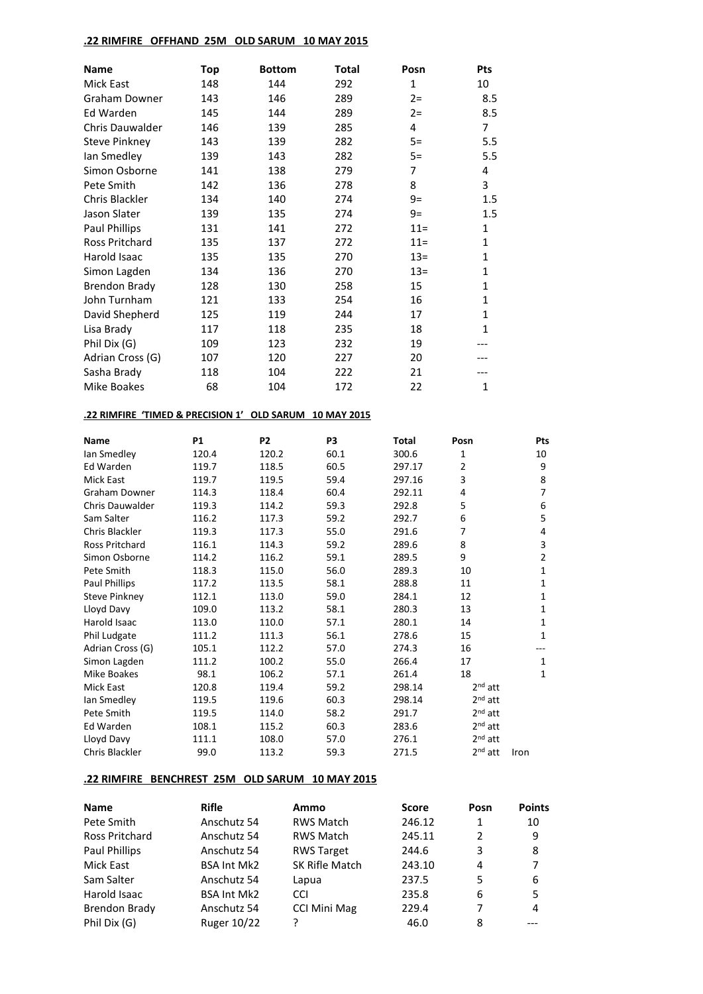# **.22 RIMFIRE OFFHAND 25M OLD SARUM 10 MAY 2015**

| <b>Name</b>          | Top | <b>Bottom</b> | <b>Total</b> | Posn   | Pts          |
|----------------------|-----|---------------|--------------|--------|--------------|
| Mick East            | 148 | 144           | 292          | 1      | 10           |
| Graham Downer        | 143 | 146           | 289          | $2 =$  | 8.5          |
| Ed Warden            | 145 | 144           | 289          | $2 =$  | 8.5          |
| Chris Dauwalder      | 146 | 139           | 285          | 4      | 7            |
| <b>Steve Pinkney</b> | 143 | 139           | 282          | $5=$   | 5.5          |
| lan Smedley          | 139 | 143           | 282          | $5=$   | 5.5          |
| Simon Osborne        | 141 | 138           | 279          | 7      | 4            |
| Pete Smith           | 142 | 136           | 278          | 8      | 3            |
| Chris Blackler       | 134 | 140           | 274          | $9=$   | 1.5          |
| Jason Slater         | 139 | 135           | 274          | $9=$   | 1.5          |
| Paul Phillips        | 131 | 141           | 272          | $11 =$ | $\mathbf{1}$ |
| Ross Pritchard       | 135 | 137           | 272          | $11 =$ | $\mathbf{1}$ |
| Harold Isaac         | 135 | 135           | 270          | $13=$  | $\mathbf{1}$ |
| Simon Lagden         | 134 | 136           | 270          | $13=$  | $\mathbf{1}$ |
| <b>Brendon Brady</b> | 128 | 130           | 258          | 15     | 1            |
| John Turnham         | 121 | 133           | 254          | 16     | $\mathbf{1}$ |
| David Shepherd       | 125 | 119           | 244          | 17     | $\mathbf{1}$ |
| Lisa Brady           | 117 | 118           | 235          | 18     | $\mathbf{1}$ |
| Phil Dix (G)         | 109 | 123           | 232          | 19     |              |
| Adrian Cross (G)     | 107 | 120           | 227          | 20     |              |
| Sasha Brady          | 118 | 104           | 222          | 21     |              |
| Mike Boakes          | 68  | 104           | 172          | 22     | $\mathbf{1}$ |

# **.22 RIMFIRE 'TIMED & PRECISION 1' OLD SARUM 10 MAY 2015**

| <b>Name</b>          | <b>P1</b> | P <sub>2</sub> | P <sub>3</sub> | Total  | Posn           | Pts            |
|----------------------|-----------|----------------|----------------|--------|----------------|----------------|
| lan Smedley          | 120.4     | 120.2          | 60.1           | 300.6  | $\mathbf{1}$   | 10             |
| Ed Warden            | 119.7     | 118.5          | 60.5           | 297.17 | $\overline{2}$ | 9              |
| <b>Mick East</b>     | 119.7     | 119.5          | 59.4           | 297.16 | 3              | 8              |
| Graham Downer        | 114.3     | 118.4          | 60.4           | 292.11 | 4              | 7              |
| Chris Dauwalder      | 119.3     | 114.2          | 59.3           | 292.8  | 5              | 6              |
| Sam Salter           | 116.2     | 117.3          | 59.2           | 292.7  | 6              | 5              |
| Chris Blackler       | 119.3     | 117.3          | 55.0           | 291.6  | 7              | 4              |
| Ross Pritchard       | 116.1     | 114.3          | 59.2           | 289.6  | 8              | 3              |
| Simon Osborne        | 114.2     | 116.2          | 59.1           | 289.5  | 9              | $\overline{2}$ |
| Pete Smith           | 118.3     | 115.0          | 56.0           | 289.3  | 10             | $\mathbf{1}$   |
| Paul Phillips        | 117.2     | 113.5          | 58.1           | 288.8  | 11             | $\mathbf{1}$   |
| <b>Steve Pinkney</b> | 112.1     | 113.0          | 59.0           | 284.1  | 12             | 1              |
| Lloyd Davy           | 109.0     | 113.2          | 58.1           | 280.3  | 13             | $\mathbf{1}$   |
| Harold Isaac         | 113.0     | 110.0          | 57.1           | 280.1  | 14             | 1              |
| Phil Ludgate         | 111.2     | 111.3          | 56.1           | 278.6  | 15             | 1              |
| Adrian Cross (G)     | 105.1     | 112.2          | 57.0           | 274.3  | 16             |                |
| Simon Lagden         | 111.2     | 100.2          | 55.0           | 266.4  | 17             | 1              |
| Mike Boakes          | 98.1      | 106.2          | 57.1           | 261.4  | 18             | 1              |
| Mick East            | 120.8     | 119.4          | 59.2           | 298.14 | $2nd$ att      |                |
| lan Smedley          | 119.5     | 119.6          | 60.3           | 298.14 | $2nd$ att      |                |
| Pete Smith           | 119.5     | 114.0          | 58.2           | 291.7  | $2nd$ att      |                |
| Ed Warden            | 108.1     | 115.2          | 60.3           | 283.6  | $2nd$ att      |                |
| Lloyd Davy           | 111.1     | 108.0          | 57.0           | 276.1  | $2nd$ att      |                |
| Chris Blackler       | 99.0      | 113.2          | 59.3           | 271.5  | $2nd$ att      | Iron           |

# **.22 RIMFIRE BENCHREST 25M OLD SARUM 10 MAY 2015**

| <b>Name</b>          | <b>Rifle</b>       | Ammo                | <b>Score</b> | Posn          | <b>Points</b> |
|----------------------|--------------------|---------------------|--------------|---------------|---------------|
| Pete Smith           | Anschutz 54        | <b>RWS Match</b>    | 246.12       | 1             | 10            |
| Ross Pritchard       | Anschutz 54        | <b>RWS Match</b>    | 245.11       | $\mathcal{P}$ | 9             |
| <b>Paul Phillips</b> | Anschutz 54        | <b>RWS Target</b>   | 244.6        | 3             | 8             |
| Mick East            | <b>BSA Int Mk2</b> | SK Rifle Match      | 243.10       | 4             | 7             |
| Sam Salter           | Anschutz 54        | Lapua               | 237.5        | 5             | 6             |
| Harold Isaac         | <b>BSA Int Mk2</b> | <b>CCI</b>          | 235.8        | 6             | 5             |
| <b>Brendon Brady</b> | Anschutz 54        | <b>CCI Mini Mag</b> | 229.4        | 7             | 4             |
| Phil Dix (G)         | <b>Ruger 10/22</b> |                     | 46.0         | 8             |               |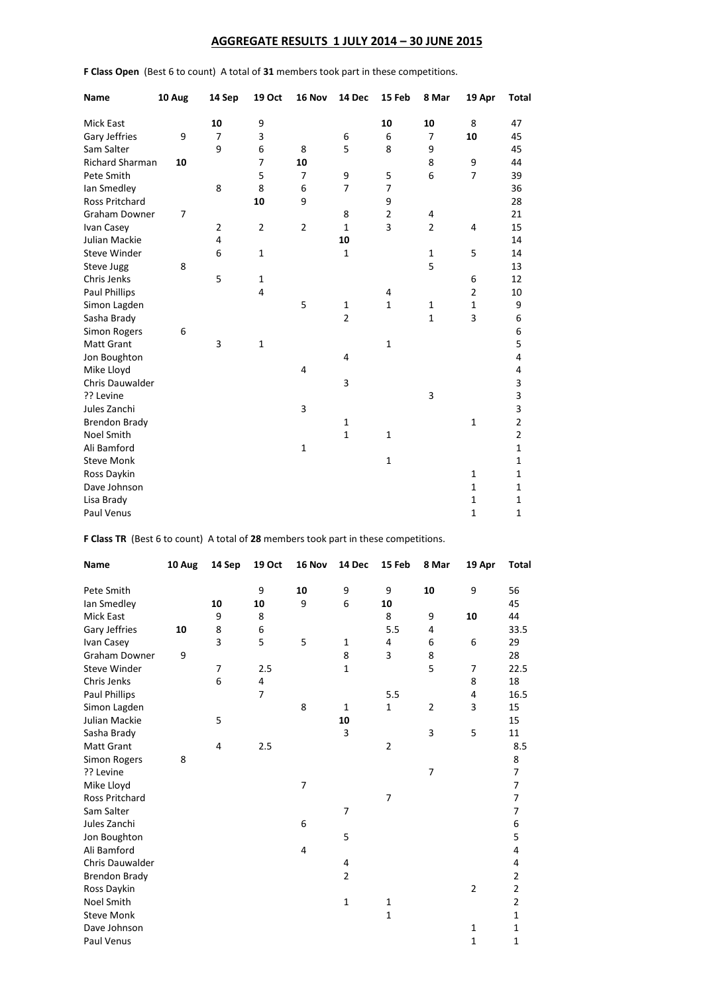# **AGGREGATE RESULTS 1 JULY 2014 – 30 JUNE 2015**

| Name                   | 10 Aug | 14 Sep         | 19 Oct         | 16 Nov         | 14 Dec         | 15 Feb         | 8 Mar          | 19 Apr         | <b>Total</b>   |
|------------------------|--------|----------------|----------------|----------------|----------------|----------------|----------------|----------------|----------------|
| <b>Mick East</b>       |        | 10             | 9              |                |                | 10             | 10             | 8              | 47             |
| Gary Jeffries          | 9      | 7              | 3              |                | 6              | 6              | 7              | 10             | 45             |
| Sam Salter             |        | 9              | 6              | 8              | 5              | 8              | 9              |                | 45             |
| <b>Richard Sharman</b> | 10     |                | $\overline{7}$ | 10             |                |                | 8              | 9              | 44             |
| Pete Smith             |        |                | 5              | 7              | 9              | 5              | 6              | $\overline{7}$ | 39             |
| lan Smedley            |        | 8              | 8              | 6              | 7              | $\overline{7}$ |                |                | 36             |
| Ross Pritchard         |        |                | 10             | 9              |                | 9              |                |                | 28             |
| Graham Downer          | 7      |                |                |                | 8              | $\overline{2}$ | 4              |                | 21             |
| Ivan Casey             |        | $\overline{2}$ | $\overline{2}$ | $\overline{2}$ | $\mathbf{1}$   | 3              | $\overline{2}$ | 4              | 15             |
| Julian Mackie          |        | 4              |                |                | 10             |                |                |                | 14             |
| <b>Steve Winder</b>    |        | 6              | $\mathbf 1$    |                | $\mathbf{1}$   |                | 1              | 5              | 14             |
| Steve Jugg             | 8      |                |                |                |                |                | 5              |                | 13             |
| Chris Jenks            |        | 5              | $\mathbf 1$    |                |                |                |                | 6              | 12             |
| <b>Paul Phillips</b>   |        |                | 4              |                |                | 4              |                | $\overline{2}$ | 10             |
| Simon Lagden           |        |                |                | 5              | $\mathbf{1}$   | $\mathbf 1$    | 1              | $\mathbf 1$    | 9              |
| Sasha Brady            |        |                |                |                | $\overline{2}$ |                | $\mathbf 1$    | 3              | 6              |
| <b>Simon Rogers</b>    | 6      |                |                |                |                |                |                |                | 6              |
| <b>Matt Grant</b>      |        | 3              | $\mathbf{1}$   |                |                | $\mathbf{1}$   |                |                | 5              |
| Jon Boughton           |        |                |                |                | 4              |                |                |                | $\overline{4}$ |
| Mike Lloyd             |        |                |                | 4              |                |                |                |                | 4              |
| <b>Chris Dauwalder</b> |        |                |                |                | 3              |                |                |                | 3              |
| ?? Levine              |        |                |                |                |                |                | 3              |                | 3              |
| Jules Zanchi           |        |                |                | 3              |                |                |                |                | 3              |
| <b>Brendon Brady</b>   |        |                |                |                | $\mathbf{1}$   |                |                | $\mathbf 1$    | $\overline{2}$ |
| <b>Noel Smith</b>      |        |                |                |                | $\mathbf{1}$   | $\mathbf{1}$   |                |                | $\overline{2}$ |
| Ali Bamford            |        |                |                | $\mathbf{1}$   |                |                |                |                | $\mathbf{1}$   |
| <b>Steve Monk</b>      |        |                |                |                |                | $\mathbf{1}$   |                |                | $\mathbf{1}$   |
| Ross Daykin            |        |                |                |                |                |                |                | $\mathbf{1}$   | 1              |
| Dave Johnson           |        |                |                |                |                |                |                | $\mathbf 1$    | $\mathbf{1}$   |
| Lisa Brady             |        |                |                |                |                |                |                | $\mathbf 1$    | $\mathbf{1}$   |
| Paul Venus             |        |                |                |                |                |                |                | $\mathbf{1}$   | $\mathbf 1$    |

**F Class Open** (Best 6 to count) A total of **31** members took part in these competitions.

**F Class TR** (Best 6 to count) A total of **28** members took part in these competitions.

| Name                  | 10 Aug | 14 Sep         | 19 Oct         | 16 Nov         | 14 Dec         | 15 Feb         | 8 Mar          | 19 Apr         | Total                   |
|-----------------------|--------|----------------|----------------|----------------|----------------|----------------|----------------|----------------|-------------------------|
| Pete Smith            |        |                | 9              | 10             | 9              | 9              | 10             | 9              | 56                      |
| lan Smedley           |        | 10             | 10             | 9              | 6              | 10             |                |                | 45                      |
| <b>Mick East</b>      |        | 9              | 8              |                |                | 8              | 9              | 10             | 44                      |
| Gary Jeffries         | 10     | 8              | 6              |                |                | 5.5            | $\overline{4}$ |                | 33.5                    |
| Ivan Casey            |        | 3              | 5              | 5              | $\mathbf{1}$   | 4              | 6              | 6              | 29                      |
| <b>Graham Downer</b>  | 9      |                |                |                | 8              | 3              | 8              |                | 28                      |
| <b>Steve Winder</b>   |        | $\overline{7}$ | 2.5            |                | $\mathbf{1}$   |                | 5              | 7              | 22.5                    |
| Chris Jenks           |        | 6              | 4              |                |                |                |                | 8              | 18                      |
| <b>Paul Phillips</b>  |        |                | $\overline{7}$ |                |                | 5.5            |                | $\overline{4}$ | 16.5                    |
| Simon Lagden          |        |                |                | 8              | 1              | 1              | $\overline{2}$ | 3              | 15                      |
| Julian Mackie         |        | 5              |                |                | 10             |                |                |                | 15                      |
| Sasha Brady           |        |                |                |                | 3              |                | 3              | 5              | 11                      |
| Matt Grant            |        | 4              | 2.5            |                |                | $\overline{2}$ |                |                | 8.5                     |
| <b>Simon Rogers</b>   | 8      |                |                |                |                |                |                |                | 8                       |
| ?? Levine             |        |                |                |                |                |                | $\overline{7}$ |                | $\overline{7}$          |
| Mike Lloyd            |        |                |                | $\overline{7}$ |                |                |                |                | $\overline{7}$          |
| <b>Ross Pritchard</b> |        |                |                |                |                | $\overline{7}$ |                |                | $\overline{7}$          |
| Sam Salter            |        |                |                |                | 7              |                |                |                | $\overline{7}$          |
| Jules Zanchi          |        |                |                | 6              |                |                |                |                | 6                       |
| Jon Boughton          |        |                |                |                | 5              |                |                |                | 5                       |
| Ali Bamford           |        |                |                | 4              |                |                |                |                | $\overline{\mathbf{4}}$ |
| Chris Dauwalder       |        |                |                |                | 4              |                |                |                | 4                       |
| <b>Brendon Brady</b>  |        |                |                |                | $\overline{2}$ |                |                |                | $\overline{2}$          |
| Ross Daykin           |        |                |                |                |                |                |                | $\overline{2}$ | $\overline{2}$          |
| Noel Smith            |        |                |                |                | $\mathbf{1}$   | $\mathbf{1}$   |                |                | $\overline{2}$          |
| <b>Steve Monk</b>     |        |                |                |                |                | $\mathbf{1}$   |                |                | $\mathbf{1}$            |
| Dave Johnson          |        |                |                |                |                |                |                | $\mathbf{1}$   | $\mathbf 1$             |
| Paul Venus            |        |                |                |                |                |                |                | $\mathbf{1}$   | $\mathbf 1$             |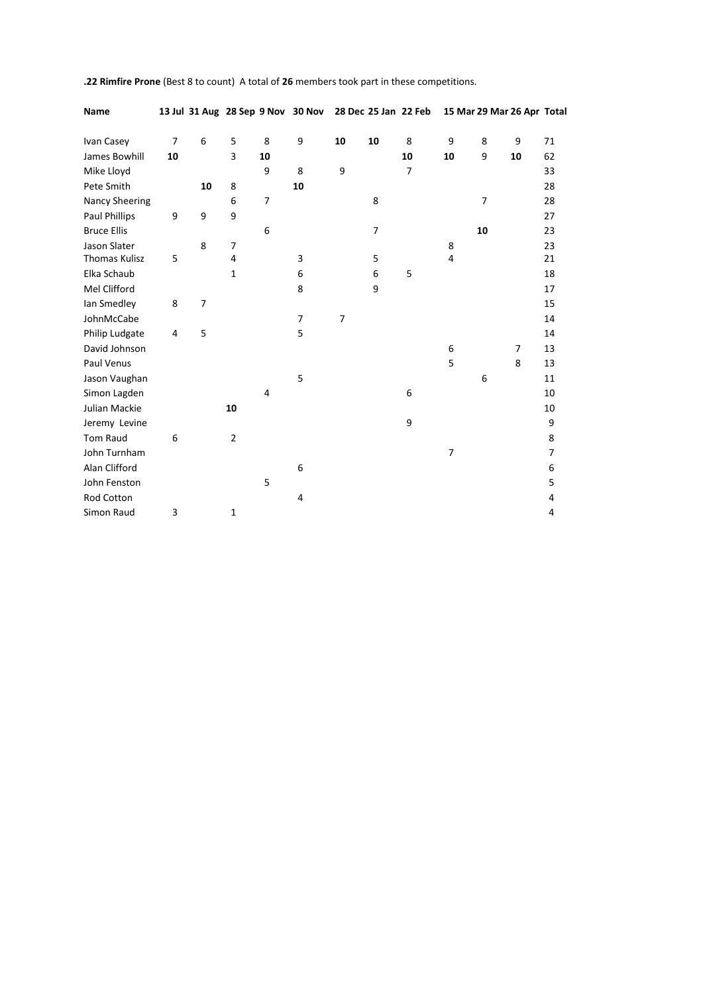| Name                  |    |                |                | 13 Jul 31 Aug 28 Sep 9 Nov 30 Nov 28 Dec 25 Jan 22 Feb |                  |                |    |                |                |                | 15 Mar 29 Mar 26 Apr Total |                |
|-----------------------|----|----------------|----------------|--------------------------------------------------------|------------------|----------------|----|----------------|----------------|----------------|----------------------------|----------------|
| Ivan Casey            | 7  | 6              | 5              | 8                                                      | $\boldsymbol{9}$ | 10             | 10 | 8              | 9              | 8              | 9                          | 71             |
| James Bowhill         | 10 |                | 3              | 10                                                     |                  |                |    | 10             | 10             | 9              | 10                         | 62             |
|                       |    |                |                |                                                        |                  |                |    |                |                |                |                            |                |
| Mike Lloyd            |    |                |                | 9                                                      | 8                | 9              |    | $\overline{7}$ |                |                |                            | 33             |
| Pete Smith            |    | 10             | 8              |                                                        | 10               |                |    |                |                |                |                            | 28             |
| <b>Nancy Sheering</b> |    |                | 6              | $\overline{7}$                                         |                  |                | 8  |                |                | $\overline{7}$ |                            | 28             |
| Paul Phillips         | 9  | 9              | 9              |                                                        |                  |                |    |                |                |                |                            | 27             |
| <b>Bruce Ellis</b>    |    |                |                | 6                                                      |                  |                | 7  |                |                | 10             |                            | 23             |
| Jason Slater          |    | 8              | 7              |                                                        |                  |                |    |                | 8              |                |                            | 23             |
| <b>Thomas Kulisz</b>  | 5  |                | 4              |                                                        | 3                |                | 5  |                | 4              |                |                            | 21             |
| Elka Schaub           |    |                | $\mathbf{1}$   |                                                        | 6                |                | 6  | 5              |                |                |                            | 18             |
| Mel Clifford          |    |                |                |                                                        | 8                |                | 9  |                |                |                |                            | 17             |
| lan Smedley           | 8  | $\overline{7}$ |                |                                                        |                  |                |    |                |                |                |                            | 15             |
| JohnMcCabe            |    |                |                |                                                        | 7                | $\overline{7}$ |    |                |                |                |                            | 14             |
| Philip Ludgate        | 4  | 5              |                |                                                        | 5                |                |    |                |                |                |                            | 14             |
| David Johnson         |    |                |                |                                                        |                  |                |    |                | 6              |                | $\overline{7}$             | 13             |
| Paul Venus            |    |                |                |                                                        |                  |                |    |                | 5              |                | 8                          | 13             |
| Jason Vaughan         |    |                |                |                                                        | 5                |                |    |                |                | 6              |                            | 11             |
| Simon Lagden          |    |                |                | $\overline{4}$                                         |                  |                |    | 6              |                |                |                            | 10             |
| Julian Mackie         |    |                | 10             |                                                        |                  |                |    |                |                |                |                            | 10             |
| Jeremy Levine         |    |                |                |                                                        |                  |                |    | 9              |                |                |                            | 9              |
| <b>Tom Raud</b>       | 6  |                | $\overline{2}$ |                                                        |                  |                |    |                |                |                |                            | 8              |
| John Turnham          |    |                |                |                                                        |                  |                |    |                | $\overline{7}$ |                |                            | $\overline{7}$ |
| Alan Clifford         |    |                |                |                                                        | 6                |                |    |                |                |                |                            | 6              |
| John Fenston          |    |                |                | 5                                                      |                  |                |    |                |                |                |                            | 5              |
| Rod Cotton            |    |                |                |                                                        | 4                |                |    |                |                |                |                            | 4              |
| Simon Raud            | 3  |                | 1              |                                                        |                  |                |    |                |                |                |                            | 4              |

**.22 Rimfire Prone** (Best 8 to count) A total of **26** members took part in these competitions.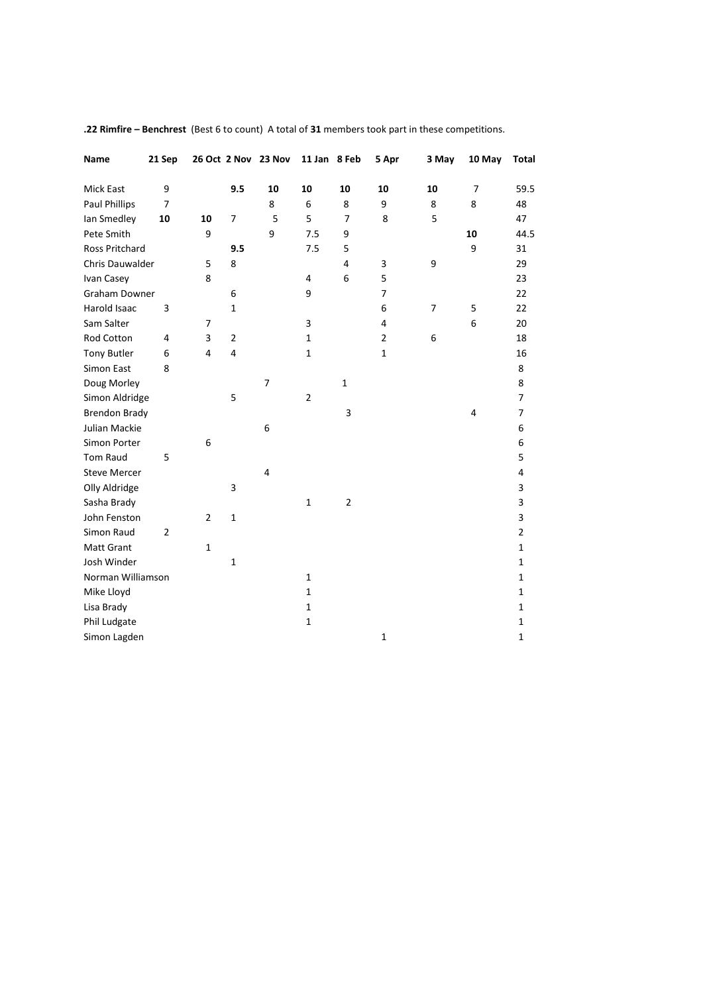| Name                  | 21 Sep         |                         |                | 26 Oct 2 Nov 23 Nov     | 11 Jan 8 Feb   |                | 5 Apr          | 3 May          | 10 May         | Total          |
|-----------------------|----------------|-------------------------|----------------|-------------------------|----------------|----------------|----------------|----------------|----------------|----------------|
| <b>Mick East</b>      | 9              |                         | 9.5            | 10                      | 10             | 10             | 10             | 10             | $\overline{7}$ | 59.5           |
| Paul Phillips         | $\overline{7}$ |                         |                | 8                       | 6              | 8              | 9              | 8              | 8              | 48             |
| lan Smedley           | 10             | 10                      | 7              | 5                       | 5              | $\overline{7}$ | 8              | 5              |                | 47             |
| Pete Smith            |                | 9                       |                | 9                       | 7.5            | 9              |                |                | 10             | 44.5           |
| <b>Ross Pritchard</b> |                |                         | 9.5            |                         | 7.5            | 5              |                |                | 9              | 31             |
| Chris Dauwalder       |                | 5                       | 8              |                         |                | $\overline{4}$ | 3              | 9              |                | 29             |
| Ivan Casey            |                | 8                       |                |                         | 4              | 6              | 5              |                |                | 23             |
| Graham Downer         |                |                         | 6              |                         | 9              |                | $\overline{7}$ |                |                | 22             |
| Harold Isaac          | 3              |                         | $\mathbf 1$    |                         |                |                | 6              | $\overline{7}$ | 5              | 22             |
| Sam Salter            |                | 7                       |                |                         | 3              |                | 4              |                | 6              | 20             |
| Rod Cotton            | 4              | 3                       | $\overline{2}$ |                         | $\mathbf{1}$   |                | $\overline{2}$ | 6              |                | 18             |
| <b>Tony Butler</b>    | 6              | $\overline{\mathbf{4}}$ | 4              |                         | $\mathbf{1}$   |                | $\mathbf{1}$   |                |                | 16             |
| Simon East            | 8              |                         |                |                         |                |                |                |                |                | 8              |
| Doug Morley           |                |                         |                | 7                       |                | $\mathbf{1}$   |                |                |                | 8              |
| Simon Aldridge        |                |                         | 5              |                         | $\overline{2}$ |                |                |                |                | 7              |
| <b>Brendon Brady</b>  |                |                         |                |                         |                | 3              |                |                | $\overline{4}$ | $\overline{7}$ |
| Julian Mackie         |                |                         |                | 6                       |                |                |                |                |                | 6              |
| Simon Porter          |                | 6                       |                |                         |                |                |                |                |                | 6              |
| Tom Raud              | 5              |                         |                |                         |                |                |                |                |                | 5              |
| <b>Steve Mercer</b>   |                |                         |                | $\overline{\mathbf{4}}$ |                |                |                |                |                | 4              |
| Olly Aldridge         |                |                         | 3              |                         |                |                |                |                |                | 3              |
| Sasha Brady           |                |                         |                |                         | $\mathbf{1}$   | $\overline{2}$ |                |                |                | 3              |
| John Fenston          |                | $\overline{2}$          | $\mathbf 1$    |                         |                |                |                |                |                | 3              |
| Simon Raud            | $\overline{2}$ |                         |                |                         |                |                |                |                |                | $\overline{2}$ |
| Matt Grant            |                | $\mathbf{1}$            |                |                         |                |                |                |                |                | $\mathbf{1}$   |
| Josh Winder           |                |                         | $\mathbf{1}$   |                         |                |                |                |                |                | $\mathbf{1}$   |
| Norman Williamson     |                |                         |                |                         | $\mathbf{1}$   |                |                |                |                | $\mathbf{1}$   |
| Mike Lloyd            |                |                         |                |                         | $\mathbf{1}$   |                |                |                |                | $\mathbf{1}$   |
| Lisa Brady            |                |                         |                |                         | $\mathbf{1}$   |                |                |                |                | $\mathbf{1}$   |
| Phil Ludgate          |                |                         |                |                         | $\mathbf{1}$   |                |                |                |                | $\mathbf{1}$   |
| Simon Lagden          |                |                         |                |                         |                |                | $\mathbf{1}$   |                |                | $\mathbf{1}$   |

**.22 Rimfire – Benchrest** (Best 6 to count) A total of **31** members took part in these competitions.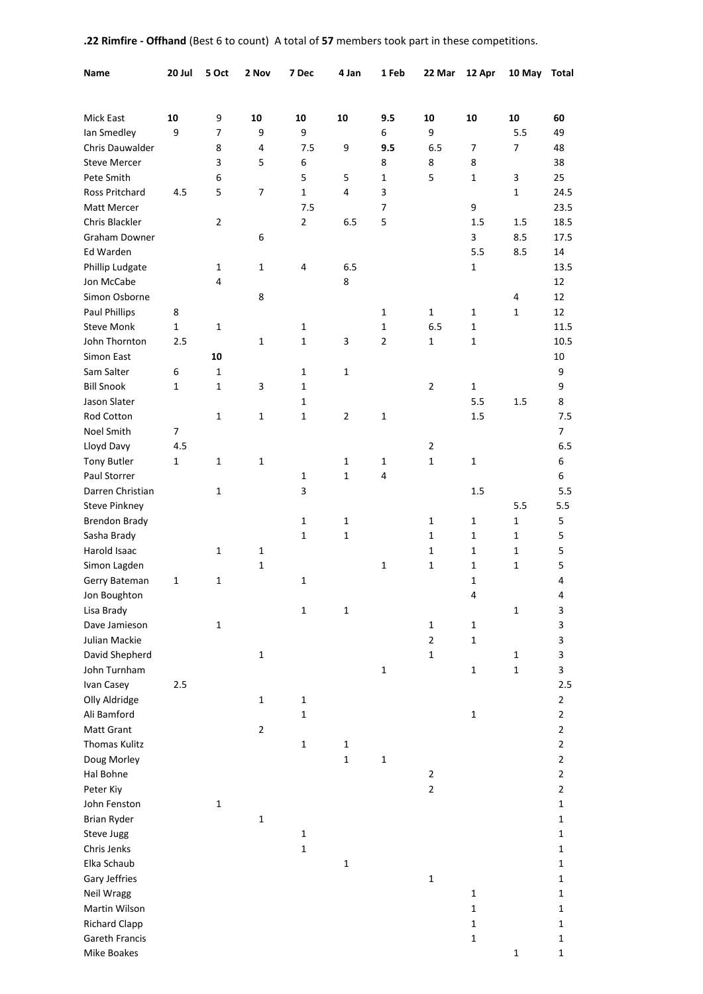| Name                 | 20 Jul       | 5 Oct          | 2 Nov          | 7 Dec          | 4 Jan          | 1 Feb          | 22 Mar         | 12 Apr       | 10 May       | Total          |
|----------------------|--------------|----------------|----------------|----------------|----------------|----------------|----------------|--------------|--------------|----------------|
|                      |              |                |                |                |                |                |                |              |              |                |
| <b>Mick East</b>     | 10           | 9              | 10             | 10             | 10             | 9.5            | 10             | 10           | 10           | 60             |
| Ian Smedley          | 9            | $\overline{7}$ | 9              | 9              |                | 6              | 9              |              | 5.5          | 49             |
| Chris Dauwalder      |              | 8              | 4              | 7.5            | 9              | 9.5            | 6.5            | 7            | 7            | 48             |
| <b>Steve Mercer</b>  |              | 3              | 5              | 6              |                | 8              | 8              | 8            |              | 38             |
| Pete Smith           |              | 6              |                | 5              | 5              | $\mathbf{1}$   | 5              | 1            | 3            | 25             |
| Ross Pritchard       | 4.5          | 5              | 7              | $\mathbf{1}$   | 4              | 3              |                |              | $\mathbf{1}$ | 24.5           |
| Matt Mercer          |              |                |                | 7.5            |                | 7              |                | 9            |              | 23.5           |
| Chris Blackler       |              | $\overline{2}$ |                | $\overline{2}$ | 6.5            | 5              |                | 1.5          | 1.5          | 18.5           |
| <b>Graham Downer</b> |              |                | 6              |                |                |                |                | 3            | 8.5          | 17.5           |
| Ed Warden            |              |                |                |                |                |                |                | 5.5          | 8.5          | 14             |
| Phillip Ludgate      |              | 1              | 1              | 4              | 6.5            |                |                | 1            |              | 13.5           |
| Jon McCabe           |              | 4              |                |                | 8              |                |                |              |              | 12             |
| Simon Osborne        |              |                | 8              |                |                |                |                |              | 4            | 12             |
| <b>Paul Phillips</b> | 8            |                |                |                |                | 1              | 1              | 1            | 1            | 12             |
| <b>Steve Monk</b>    | $\mathbf{1}$ | 1              |                | 1              |                | $\mathbf{1}$   | 6.5            | 1            |              | 11.5           |
| John Thornton        | 2.5          |                | $\mathbf{1}$   | $\mathbf{1}$   | 3              | $\overline{2}$ | 1              | 1            |              | 10.5           |
| Simon East           |              | 10             |                |                |                |                |                |              |              | 10             |
| Sam Salter           | 6            | 1              |                | 1              | 1              |                |                |              |              | 9              |
| <b>Bill Snook</b>    | 1            | 1              | 3              | $\mathbf{1}$   |                |                | $\overline{2}$ | 1            |              | 9              |
| Jason Slater         |              |                |                | 1              |                |                |                | 5.5          | 1.5          | 8              |
| Rod Cotton           |              | 1              | $\mathbf{1}$   | 1              | $\overline{2}$ | $\mathbf{1}$   |                | 1.5          |              | 7.5            |
| Noel Smith           | 7            |                |                |                |                |                |                |              |              | 7              |
| Lloyd Davy           | 4.5          |                |                |                |                |                | $\overline{2}$ |              |              | 6.5            |
| <b>Tony Butler</b>   | $\mathbf{1}$ | 1              | $\mathbf{1}$   |                | 1              | 1              | $\mathbf{1}$   | $\mathbf{1}$ |              | 6              |
| Paul Storrer         |              |                |                | 1              | $\mathbf{1}$   | 4              |                |              |              | 6              |
| Darren Christian     |              | 1              |                | 3              |                |                |                | 1.5          |              | 5.5            |
| <b>Steve Pinkney</b> |              |                |                |                |                |                |                |              | 5.5          | 5.5            |
| <b>Brendon Brady</b> |              |                |                | 1              | 1              |                | 1              | 1            | $\mathbf{1}$ | 5              |
| Sasha Brady          |              |                |                | 1              | 1              |                | 1              | $\mathbf{1}$ | 1            | 5              |
| Harold Isaac         |              | $\mathbf{1}$   | $\mathbf{1}$   |                |                |                | 1              | 1            | 1            | 5              |
| Simon Lagden         |              |                | 1              |                |                | 1              | 1              | 1            | 1            | 5              |
| Gerry Bateman        | 1            | 1              |                | $\mathbf 1$    |                |                |                | 1            |              | 4              |
| Jon Boughton         |              |                |                |                |                |                |                | 4            |              | 4              |
| Lisa Brady           |              |                |                | $\mathbf 1$    | $\mathbf 1$    |                |                |              | $\mathbf 1$  | 3              |
| Dave Jamieson        |              | $\mathbf{1}$   |                |                |                |                | $\mathbf{1}$   | $\mathbf{1}$ |              | 3              |
| Julian Mackie        |              |                |                |                |                |                | $\overline{2}$ | $\mathbf{1}$ |              | 3              |
| David Shepherd       |              |                | $\mathbf{1}$   |                |                |                | $\mathbf 1$    |              | $\mathbf{1}$ | 3              |
| John Turnham         |              |                |                |                |                | $\mathbf 1$    |                | $\mathbf 1$  | $\mathbf 1$  | 3              |
| Ivan Casey           | $2.5$        |                |                |                |                |                |                |              |              | 2.5            |
| Olly Aldridge        |              |                | $\mathbf{1}$   | $\mathbf{1}$   |                |                |                |              |              | $\overline{2}$ |
| Ali Bamford          |              |                |                | $\mathbf 1$    |                |                |                | $\mathbf{1}$ |              | $\overline{2}$ |
| Matt Grant           |              |                | $\overline{2}$ |                |                |                |                |              |              | $\mathbf{2}$   |
| Thomas Kulitz        |              |                |                | $\mathbf 1$    | $\mathbf{1}$   |                |                |              |              | $\overline{2}$ |
| Doug Morley          |              |                |                |                | $\mathbf{1}$   | $\mathbf{1}$   |                |              |              | $\overline{2}$ |
| Hal Bohne            |              |                |                |                |                |                | 2              |              |              | $\overline{2}$ |
| Peter Kiy            |              |                |                |                |                |                | $\overline{2}$ |              |              | $\overline{2}$ |
| John Fenston         |              | 1              |                |                |                |                |                |              |              | $\mathbf{1}$   |
| <b>Brian Ryder</b>   |              |                | $\mathbf 1$    |                |                |                |                |              |              | $\mathbf{1}$   |
| <b>Steve Jugg</b>    |              |                |                | $\mathbf 1$    |                |                |                |              |              | $\mathbf{1}$   |
| Chris Jenks          |              |                |                | $\mathbf 1$    |                |                |                |              |              | $\mathbf{1}$   |
| Elka Schaub          |              |                |                |                | 1              |                |                |              |              | $\mathbf{1}$   |
| Gary Jeffries        |              |                |                |                |                |                | $\mathbf 1$    |              |              | $\mathbf{1}$   |
| Neil Wragg           |              |                |                |                |                |                |                | $\mathbf 1$  |              | $\mathbf{1}$   |
| Martin Wilson        |              |                |                |                |                |                |                | $\mathbf{1}$ |              | $\mathbf{1}$   |
| <b>Richard Clapp</b> |              |                |                |                |                |                |                | $\mathbf 1$  |              | $\mathbf{1}$   |
| Gareth Francis       |              |                |                |                |                |                |                | $\mathbf{1}$ |              | $\mathbf{1}$   |
| Mike Boakes          |              |                |                |                |                |                |                |              | $\mathbf{1}$ | $\mathbf{1}$   |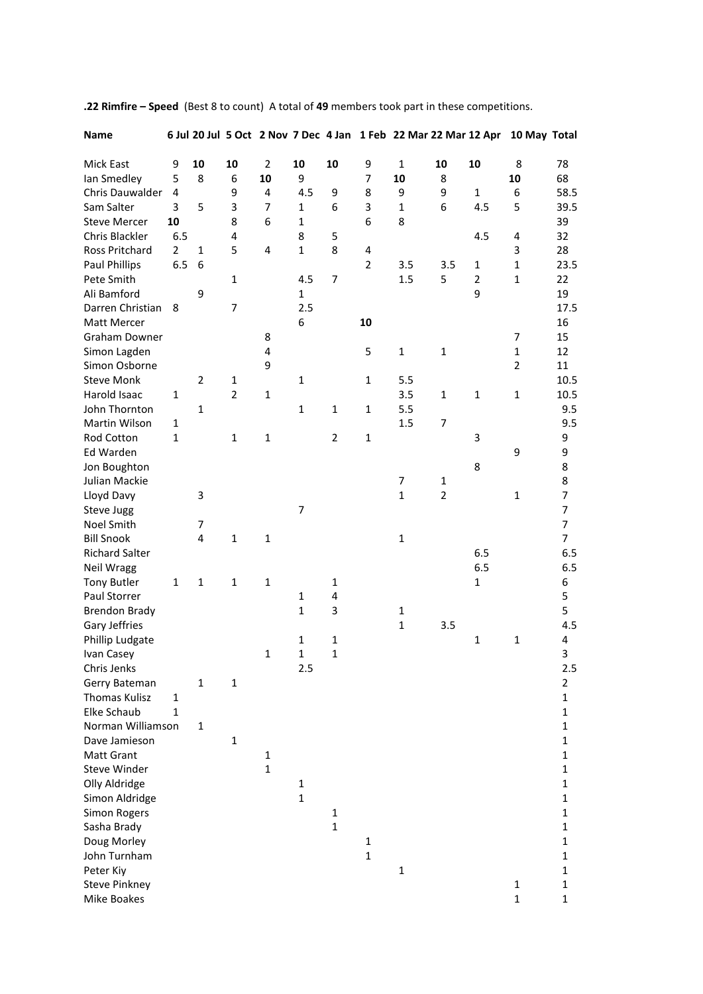| <b>Name</b>           |                |                |                |                |                |                |                |              |                |                | 6 Jul 20 Jul 5 Oct 2 Nov 7 Dec 4 Jan 1 Feb 22 Mar 22 Mar 12 Apr 10 May Total |                |
|-----------------------|----------------|----------------|----------------|----------------|----------------|----------------|----------------|--------------|----------------|----------------|------------------------------------------------------------------------------|----------------|
| Mick East             | 9              | 10             | 10             | $\overline{2}$ | 10             | 10             | 9              | $\mathbf{1}$ | 10             | 10             | 8                                                                            | 78             |
| Ian Smedley           | 5              | 8              | 6              | 10             | 9              |                | 7              | 10           | 8              |                | 10                                                                           | 68             |
| Chris Dauwalder       | 4              |                | 9              | 4              | 4.5            | 9              | 8              | 9            | 9              | $\mathbf{1}$   | 6                                                                            | 58.5           |
| Sam Salter            | 3              | 5              | 3              | 7              | 1              | 6              | 3              | $\mathbf{1}$ | 6              | 4.5            | 5                                                                            | 39.5           |
| <b>Steve Mercer</b>   | 10             |                | 8              | 6              | $\mathbf{1}$   |                | 6              | 8            |                |                |                                                                              | 39             |
| Chris Blackler        | 6.5            |                | 4              |                | 8              | 5              |                |              |                | 4.5            | 4                                                                            | 32             |
| <b>Ross Pritchard</b> | $\overline{2}$ | $\mathbf{1}$   | 5              | 4              | $\mathbf{1}$   | 8              | 4              |              |                |                | 3                                                                            | 28             |
| Paul Phillips         | 6.5            | 6              |                |                |                |                | $\overline{2}$ | 3.5          | 3.5            | $\mathbf{1}$   | $\mathbf{1}$                                                                 | 23.5           |
| Pete Smith            |                |                | $\mathbf{1}$   |                | 4.5            | $\overline{7}$ |                | 1.5          | 5              | $\overline{2}$ | $\mathbf{1}$                                                                 | 22             |
| Ali Bamford           |                | 9              |                |                | $\mathbf 1$    |                |                |              |                | 9              |                                                                              | 19             |
| Darren Christian      | 8              |                | $\overline{7}$ |                | 2.5            |                |                |              |                |                |                                                                              | 17.5           |
| Matt Mercer           |                |                |                |                | 6              |                | 10             |              |                |                |                                                                              | 16             |
| <b>Graham Downer</b>  |                |                |                | 8              |                |                |                |              |                |                | 7                                                                            | 15             |
| Simon Lagden          |                |                |                | 4              |                |                | 5              | $\mathbf{1}$ | $\mathbf{1}$   |                | $\mathbf{1}$                                                                 | 12             |
| Simon Osborne         |                |                |                | 9              |                |                |                |              |                |                | $\overline{2}$                                                               | 11             |
| <b>Steve Monk</b>     |                | $\overline{2}$ | $\mathbf{1}$   |                | $\mathbf 1$    |                | $\mathbf{1}$   | 5.5          |                |                |                                                                              | 10.5           |
| Harold Isaac          |                |                | $\overline{2}$ |                |                |                |                |              |                |                |                                                                              |                |
| John Thornton         | 1              |                |                | $\mathbf{1}$   |                |                |                | 3.5          | $\mathbf{1}$   | $\mathbf{1}$   | 1                                                                            | 10.5           |
|                       |                | $\mathbf{1}$   |                |                | $\mathbf{1}$   | $\mathbf{1}$   | 1              | 5.5          |                |                |                                                                              | 9.5            |
| Martin Wilson         | 1              |                |                |                |                |                |                | 1.5          | 7              |                |                                                                              | 9.5            |
| Rod Cotton            | $\mathbf{1}$   |                | 1              | $\mathbf{1}$   |                | $\overline{2}$ | $\mathbf{1}$   |              |                | 3              |                                                                              | 9              |
| Ed Warden             |                |                |                |                |                |                |                |              |                |                | 9                                                                            | 9              |
| Jon Boughton          |                |                |                |                |                |                |                |              |                | 8              |                                                                              | 8              |
| Julian Mackie         |                |                |                |                |                |                |                | 7            | 1              |                |                                                                              | 8              |
| Lloyd Davy            |                | 3              |                |                |                |                |                | $\mathbf{1}$ | $\overline{2}$ |                | $\mathbf{1}$                                                                 | $\overline{7}$ |
| Steve Jugg            |                |                |                |                | $\overline{7}$ |                |                |              |                |                |                                                                              | $\overline{7}$ |
| Noel Smith            |                | 7              |                |                |                |                |                |              |                |                |                                                                              | $\overline{7}$ |
| <b>Bill Snook</b>     |                | 4              | $\mathbf{1}$   | $\mathbf{1}$   |                |                |                | 1            |                |                |                                                                              | 7              |
| <b>Richard Salter</b> |                |                |                |                |                |                |                |              |                | 6.5            |                                                                              | 6.5            |
| Neil Wragg            |                |                |                |                |                |                |                |              |                | 6.5            |                                                                              | 6.5            |
| <b>Tony Butler</b>    | $\mathbf{1}$   | $\mathbf{1}$   | $\mathbf{1}$   | $\mathbf{1}$   |                | 1              |                |              |                | $\mathbf{1}$   |                                                                              | 6              |
| Paul Storrer          |                |                |                |                | $\mathbf{1}$   | 4              |                |              |                |                |                                                                              | 5              |
| <b>Brendon Brady</b>  |                |                |                |                | $\mathbf{1}$   | 3              |                | 1            |                |                |                                                                              | 5              |
| Gary Jeffries         |                |                |                |                |                |                |                | $\mathbf{1}$ | 3.5            |                |                                                                              | 4.5            |
| Phillip Ludgate       |                |                |                |                | $\mathbf{1}$   | 1              |                |              |                | 1              | 1                                                                            | 4              |
| Ivan Casey            |                |                |                | $\mathbf{1}$   | $\mathbf{1}$   | $\mathbf 1$    |                |              |                |                |                                                                              | 3              |
| Chris Jenks           |                |                |                |                | 2.5            |                |                |              |                |                |                                                                              | 2.5            |
| Gerry Bateman         |                | $\mathbf{1}$   | $\mathbf{1}$   |                |                |                |                |              |                |                |                                                                              | $\overline{2}$ |
| Thomas Kulisz         | $\mathbf{1}$   |                |                |                |                |                |                |              |                |                |                                                                              | $\mathbf{1}$   |
| Elke Schaub           | $\mathbf{1}$   |                |                |                |                |                |                |              |                |                |                                                                              | $\mathbf{1}$   |
| Norman Williamson     |                | $\mathbf{1}$   |                |                |                |                |                |              |                |                |                                                                              | 1              |
| Dave Jamieson         |                |                | 1              |                |                |                |                |              |                |                |                                                                              | 1              |
| <b>Matt Grant</b>     |                |                |                | 1              |                |                |                |              |                |                |                                                                              | $\mathbf{1}$   |
| Steve Winder          |                |                |                | $\mathbf{1}$   |                |                |                |              |                |                |                                                                              | $\mathbf{1}$   |
| Olly Aldridge         |                |                |                |                | $\mathbf{1}$   |                |                |              |                |                |                                                                              | 1              |
| Simon Aldridge        |                |                |                |                | $\mathbf 1$    |                |                |              |                |                |                                                                              | $\mathbf{1}$   |
| <b>Simon Rogers</b>   |                |                |                |                |                | 1              |                |              |                |                |                                                                              | $\mathbf{1}$   |
| Sasha Brady           |                |                |                |                |                | $\mathbf{1}$   |                |              |                |                |                                                                              | $\mathbf{1}$   |
| Doug Morley           |                |                |                |                |                |                | 1              |              |                |                |                                                                              | 1              |
| John Turnham          |                |                |                |                |                |                | $\mathbf{1}$   |              |                |                |                                                                              | $\mathbf{1}$   |
| Peter Kiy             |                |                |                |                |                |                |                | $\mathbf{1}$ |                |                |                                                                              | $\mathbf{1}$   |
| <b>Steve Pinkney</b>  |                |                |                |                |                |                |                |              |                |                | 1                                                                            | $\mathbf 1$    |
| Mike Boakes           |                |                |                |                |                |                |                |              |                |                | $\mathbf{1}$                                                                 | $\mathbf 1$    |

**.22 Rimfire – Speed** (Best 8 to count) A total of **49** members took part in these competitions.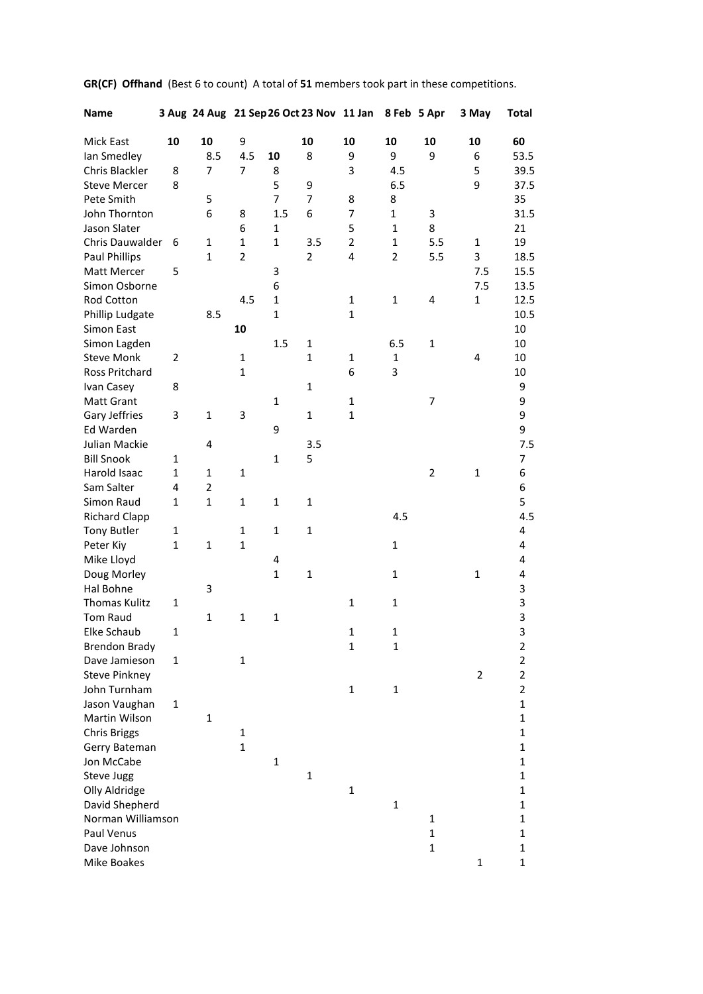| <b>Name</b>          |              |                |                |                | 3 Aug 24 Aug 21 Sep 26 Oct 23 Nov 11 Jan |                |                | 8 Feb 5 Apr    | 3 May          | Total                   |
|----------------------|--------------|----------------|----------------|----------------|------------------------------------------|----------------|----------------|----------------|----------------|-------------------------|
| Mick East            | 10           | 10             | 9              |                | 10                                       | 10             | 10             | 10             | 10             | 60                      |
| lan Smedley          |              | 8.5            | 4.5            | 10             | 8                                        | 9              | 9              | 9              | 6              | 53.5                    |
| Chris Blackler       | 8            | $\overline{7}$ | 7              | 8              |                                          | 3              | 4.5            |                | 5              | 39.5                    |
| <b>Steve Mercer</b>  | 8            |                |                | 5              | 9                                        |                | 6.5            |                | 9              | 37.5                    |
| Pete Smith           |              | 5              |                | $\overline{7}$ | $\overline{7}$                           | 8              | 8              |                |                | 35                      |
| John Thornton        |              | 6              | 8              | 1.5            | 6                                        | 7              | $\mathbf{1}$   | 3              |                | 31.5                    |
| Jason Slater         |              |                | 6              | $\mathbf{1}$   |                                          | 5              | $\mathbf{1}$   | 8              |                | 21                      |
| Chris Dauwalder      | 6            | $\mathbf{1}$   | $\mathbf{1}$   | $\mathbf{1}$   | 3.5                                      | $\overline{2}$ | $\mathbf{1}$   | 5.5            | $\mathbf{1}$   | 19                      |
| <b>Paul Phillips</b> |              | $\mathbf{1}$   | $\overline{2}$ |                | $\overline{2}$                           | 4              | $\overline{2}$ | 5.5            | 3              | 18.5                    |
| Matt Mercer          | 5            |                |                | 3              |                                          |                |                |                | 7.5            | 15.5                    |
| Simon Osborne        |              |                |                | 6              |                                          |                |                |                | 7.5            | 13.5                    |
| Rod Cotton           |              |                | 4.5            | $\mathbf{1}$   |                                          | 1              | $\mathbf{1}$   | 4              | 1              | 12.5                    |
| Phillip Ludgate      |              | 8.5            |                | $\mathbf{1}$   |                                          | $\mathbf{1}$   |                |                |                | 10.5                    |
| Simon East           |              |                | 10             |                |                                          |                |                |                |                | 10                      |
| Simon Lagden         |              |                |                | 1.5            | 1                                        |                | 6.5            | 1              |                | 10                      |
| <b>Steve Monk</b>    | 2            |                | 1              |                | $\mathbf{1}$                             | 1              | $\mathbf{1}$   |                | 4              | 10                      |
| Ross Pritchard       |              |                | $\mathbf{1}$   |                |                                          | 6              | 3              |                |                | 10                      |
| Ivan Casey           | 8            |                |                |                | $\mathbf{1}$                             |                |                |                |                | 9                       |
| <b>Matt Grant</b>    |              |                |                | 1              |                                          | $\mathbf{1}$   |                | 7              |                | 9                       |
| Gary Jeffries        | 3            | $\mathbf{1}$   | 3              |                | $\mathbf{1}$                             | $\mathbf{1}$   |                |                |                | 9                       |
| Ed Warden            |              |                |                | 9              |                                          |                |                |                |                | 9                       |
| Julian Mackie        |              | 4              |                |                | 3.5                                      |                |                |                |                | 7.5                     |
| <b>Bill Snook</b>    | $\mathbf{1}$ |                |                | 1              | 5                                        |                |                |                |                | 7                       |
| Harold Isaac         | $\mathbf{1}$ | 1              | $\mathbf{1}$   |                |                                          |                |                | $\overline{2}$ | $\mathbf{1}$   | 6                       |
| Sam Salter           | 4            | 2              |                |                |                                          |                |                |                |                | 6                       |
| Simon Raud           | $\mathbf{1}$ | $\mathbf{1}$   | 1              | $\mathbf{1}$   | $\mathbf{1}$                             |                |                |                |                | 5                       |
| <b>Richard Clapp</b> |              |                |                |                |                                          |                | 4.5            |                |                | 4.5                     |
| <b>Tony Butler</b>   | $\mathbf{1}$ |                | $\mathbf{1}$   | $\mathbf{1}$   | $\mathbf{1}$                             |                |                |                |                | 4                       |
| Peter Kiy            | $\mathbf 1$  | 1              | $\mathbf{1}$   |                |                                          |                | 1              |                |                | 4                       |
| Mike Lloyd           |              |                |                | 4              |                                          |                |                |                |                | 4                       |
| Doug Morley          |              |                |                | $\mathbf{1}$   | $\mathbf{1}$                             |                | $\mathbf{1}$   |                | $\mathbf{1}$   | 4                       |
| Hal Bohne            |              | 3              |                |                |                                          |                |                |                |                | 3                       |
| <b>Thomas Kulitz</b> | $\mathbf{1}$ |                |                |                |                                          | $\mathbf{1}$   | $\mathbf{1}$   |                |                | 3                       |
| <b>Tom Raud</b>      |              | $\mathbf{1}$   | $\mathbf{1}$   | $\mathbf{1}$   |                                          |                |                |                |                | 3                       |
| Elke Schaub          | $\mathbf{1}$ |                |                |                |                                          | $\mathbf{1}$   | $\mathbf{1}$   |                |                | 3                       |
| <b>Brendon Brady</b> |              |                |                |                |                                          | $\mathbf 1$    | $\mathbf 1$    |                |                | $\overline{\mathbf{c}}$ |
| Dave Jamieson        | 1            |                | $\mathbf{1}$   |                |                                          |                |                |                |                | $\overline{\mathbf{c}}$ |
| <b>Steve Pinkney</b> |              |                |                |                |                                          |                |                |                | $\overline{2}$ | $\overline{c}$          |
| John Turnham         |              |                |                |                |                                          | 1              | $\mathbf 1$    |                |                | $\overline{c}$          |
| Jason Vaughan        | 1            |                |                |                |                                          |                |                |                |                | $\mathbf 1$             |
| Martin Wilson        |              | $\mathbf{1}$   |                |                |                                          |                |                |                |                | $\mathbf{1}$            |
| <b>Chris Briggs</b>  |              |                | 1              |                |                                          |                |                |                |                | $\mathbf{1}$            |
| Gerry Bateman        |              |                | $\mathbf{1}$   |                |                                          |                |                |                |                | $\mathbf 1$             |
| Jon McCabe           |              |                |                | $\mathbf{1}$   |                                          |                |                |                |                | $\mathbf{1}$            |
| Steve Jugg           |              |                |                |                | $\mathbf{1}$                             |                |                |                |                | $\mathbf{1}$            |
| Olly Aldridge        |              |                |                |                |                                          | 1              |                |                |                | 1                       |
| David Shepherd       |              |                |                |                |                                          |                | $\mathbf{1}$   |                |                | 1                       |
| Norman Williamson    |              |                |                |                |                                          |                |                | 1              |                | 1                       |
| Paul Venus           |              |                |                |                |                                          |                |                | $\mathbf{1}$   |                | 1                       |
| Dave Johnson         |              |                |                |                |                                          |                |                | $\mathbf{1}$   |                | 1                       |
| Mike Boakes          |              |                |                |                |                                          |                |                |                | 1              | $\mathbf 1$             |

**GR(CF) Offhand** (Best 6 to count) A total of **51** members took part in these competitions.